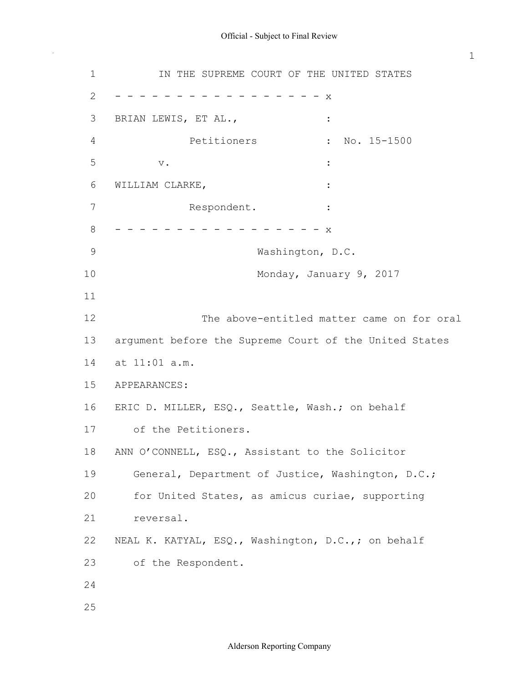$\bar{\gamma}$ 

| $\mathbf 1$    | IN THE SUPREME COURT OF THE UNITED STATES              |
|----------------|--------------------------------------------------------|
| $\mathbf{2}$   | X                                                      |
| 3              | BRIAN LEWIS, ET AL.,<br>$\ddot{\cdot}$                 |
| $\overline{4}$ | Petitioners<br>No. 15-1500                             |
| 5              | $\mathbf v$ .                                          |
| 6              | WILLIAM CLARKE,                                        |
| $\overline{7}$ | Respondent.                                            |
| 8              | X                                                      |
| $\mathcal{G}$  | Washington, D.C.                                       |
| 10             | Monday, January 9, 2017                                |
| 11             |                                                        |
| 12             | The above-entitled matter came on for oral             |
| 13             | argument before the Supreme Court of the United States |
| 14             | at 11:01 a.m.                                          |
| 15             | APPEARANCES:                                           |
| 16             | ERIC D. MILLER, ESQ., Seattle, Wash.; on behalf        |
| 17             | of the Petitioners.                                    |
| 18             | ANN O'CONNELL, ESQ., Assistant to the Solicitor        |
| 19             | General, Department of Justice, Washington, D.C.;      |
| 20             | for United States, as amicus curiae, supporting        |
| 21             | reversal.                                              |
| 22             | NEAL K. KATYAL, ESQ., Washington, D.C.,; on behalf     |
| 23             | of the Respondent.                                     |
| 24             |                                                        |
| 25             |                                                        |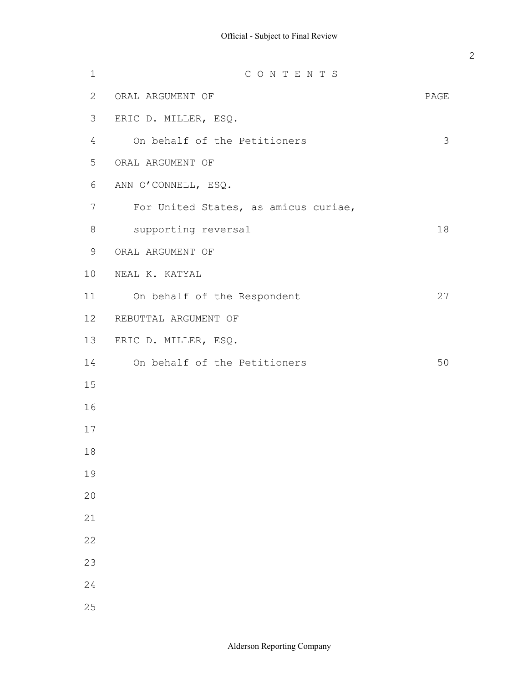$\bar{\gamma}$ 

| $\mathbf 1$               | CONTENTS                             |      |
|---------------------------|--------------------------------------|------|
| $\mathbf{2}^{\mathsf{I}}$ | ORAL ARGUMENT OF                     | PAGE |
| 3                         | ERIC D. MILLER, ESQ.                 |      |
| 4                         | On behalf of the Petitioners         | 3    |
| 5                         | ORAL ARGUMENT OF                     |      |
| 6                         | ANN O'CONNELL, ESQ.                  |      |
| 7                         | For United States, as amicus curiae, |      |
| 8                         | supporting reversal                  | 18   |
| 9                         | ORAL ARGUMENT OF                     |      |
| 10                        | NEAL K. KATYAL                       |      |
| 11                        | On behalf of the Respondent          | 27   |
| 12                        | REBUTTAL ARGUMENT OF                 |      |
| 13                        | ERIC D. MILLER, ESQ.                 |      |
| 14                        | On behalf of the Petitioners         | 50   |
| 15                        |                                      |      |
| 16                        |                                      |      |
| 17                        |                                      |      |
| 18                        |                                      |      |
| 19                        |                                      |      |
| 20                        |                                      |      |
| 21                        |                                      |      |
| 22                        |                                      |      |
| 23                        |                                      |      |
| 24                        |                                      |      |
| 25                        |                                      |      |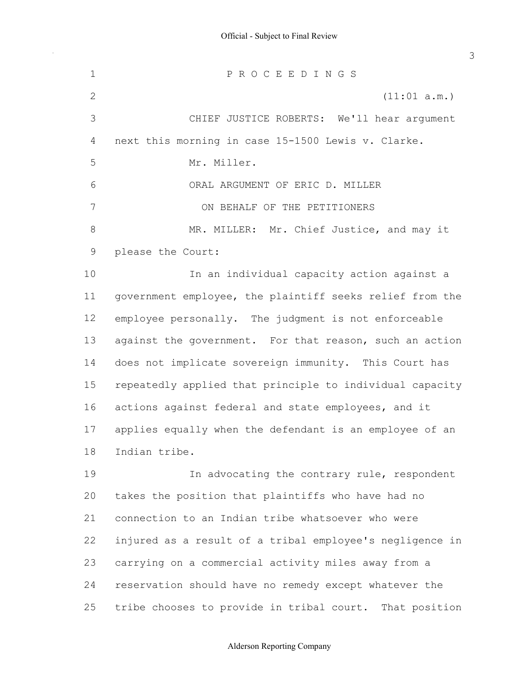next this morning in case 15-1500 Lewis v. Clarke. please the Court: government employee, the plaintiff seeks relief from the employee personally. The judgment is not enforceable against the government. For that reason, such an action does not implicate sovereign immunity. This Court has repeatedly applied that principle to individual capacity actions against federal and state employees, and it applies equally when the defendant is an employee of an takes the position that plaintiffs who have had no connection to an Indian tribe whatsoever who were injured as a result of a tribal employee's negligence in carrying on a commercial activity miles away from a reservation should have no remedy except whatever the tribe chooses to provide in tribal court. That position 1 2 3 4 5 6 7 8 9 10 11 12 13 14 15 16 17 18 19 20 21 22 23 24 25 P R O C E E D I N G S (11:01 a.m.) CHIEF JUSTICE ROBERTS: We'll hear argument Mr. Miller. ORAL ARGUMENT OF ERIC D. MILLER ON BEHALF OF THE PETITIONERS MR. MILLER: Mr. Chief Justice, and may it In an individual capacity action against a Indian tribe. In advocating the contrary rule, respondent

# Alderson Reporting Company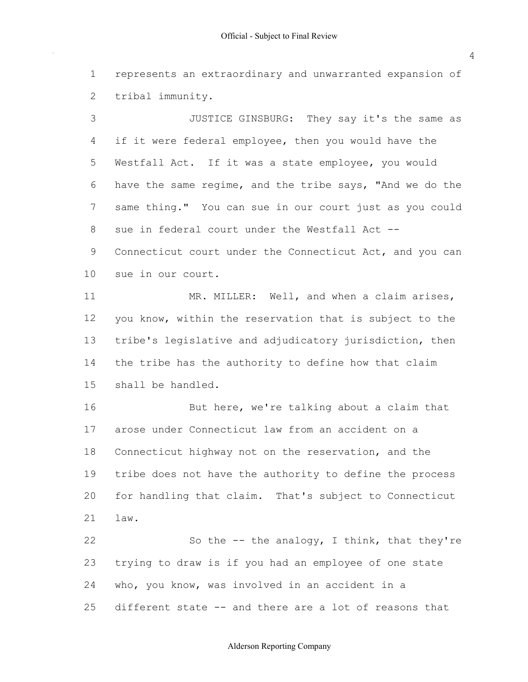represents an extraordinary and unwarranted expansion of 1 2 tribal immunity.

 if it were federal employee, then you would have the Westfall Act. If it was a state employee, you would have the same regime, and the tribe says, "And we do the same thing." You can sue in our court just as you could sue in federal court under the Westfall Act -- Connecticut court under the Connecticut Act, and you can sue in our court. you know, within the reservation that is subject to the tribe's legislative and adjudicatory jurisdiction, then the tribe has the authority to define how that claim shall be handled. arose under Connecticut law from an accident on a Connecticut highway not on the reservation, and the 3 4 5 6 7 8 9 10 11 12 13 14 15 16 17 18 JUSTICE GINSBURG: They say it's the same as MR. MILLER: Well, and when a claim arises, But here, we're talking about a claim that

 tribe does not have the authority to define the process for handling that claim. That's subject to Connecticut 19 20 21 law.

 trying to draw is if you had an employee of one state who, you know, was involved in an accident in a different state -- and there are a lot of reasons that 22 23 24 25 So the  $-$ - the analogy, I think, that they're

4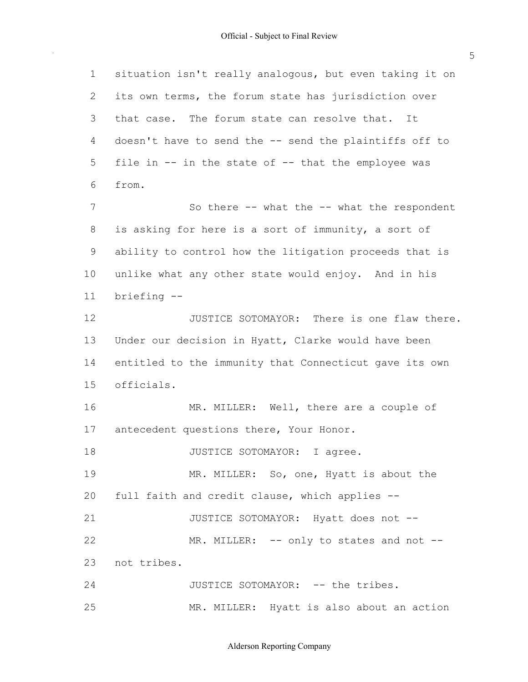situation isn't really analogous, but even taking it on its own terms, the forum state has jurisdiction over that case. The forum state can resolve that. It doesn't have to send the -- send the plaintiffs off to file in -- in the state of -- that the employee was is asking for here is a sort of immunity, a sort of ability to control how the litigation proceeds that is unlike what any other state would enjoy. And in his Under our decision in Hyatt, Clarke would have been entitled to the immunity that Connecticut gave its own antecedent questions there, Your Honor. full faith and credit clause, which applies -- 1 2 3 4 5  $6 \overline{6}$ 7 8 9 10 11 12 13 14 15 16 17 18 19 20 21 22 23 24 25 from. So there -- what the -- what the respondent briefing -- JUSTICE SOTOMAYOR: There is one flaw there. officials. MR. MILLER: Well, there are a couple of JUSTICE SOTOMAYOR: I agree. MR. MILLER: So, one, Hyatt is about the JUSTICE SOTOMAYOR: Hyatt does not -- MR. MILLER: -- only to states and not -not tribes. JUSTICE SOTOMAYOR: -- the tribes. MR. MILLER: Hyatt is also about an action

Alderson Reporting Company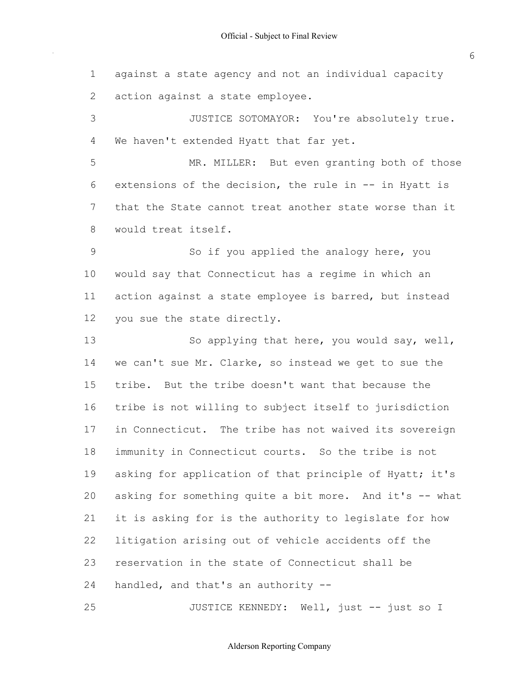against a state agency and not an individual capacity action against a state employee. We haven't extended Hyatt that far yet. extensions of the decision, the rule in -- in Hyatt is that the State cannot treat another state worse than it would treat itself. would say that Connecticut has a regime in which an action against a state employee is barred, but instead you sue the state directly. we can't sue Mr. Clarke, so instead we get to sue the tribe. But the tribe doesn't want that because the tribe is not willing to subject itself to jurisdiction in Connecticut. The tribe has not waived its sovereign immunity in Connecticut courts. So the tribe is not asking for application of that principle of Hyatt; it's asking for something quite a bit more. And it's -- what it is asking for is the authority to legislate for how litigation arising out of vehicle accidents off the reservation in the state of Connecticut shall be handled, and that's an authority -- 1 2 3 4 5 6 7 8 9 10 11 12 13 14 15 16 17 18 19 20 21 22 23 24 25 JUSTICE SOTOMAYOR: You're absolutely true. MR. MILLER: But even granting both of those So if you applied the analogy here, you So applying that here, you would say, well, JUSTICE KENNEDY: Well, just -- just so I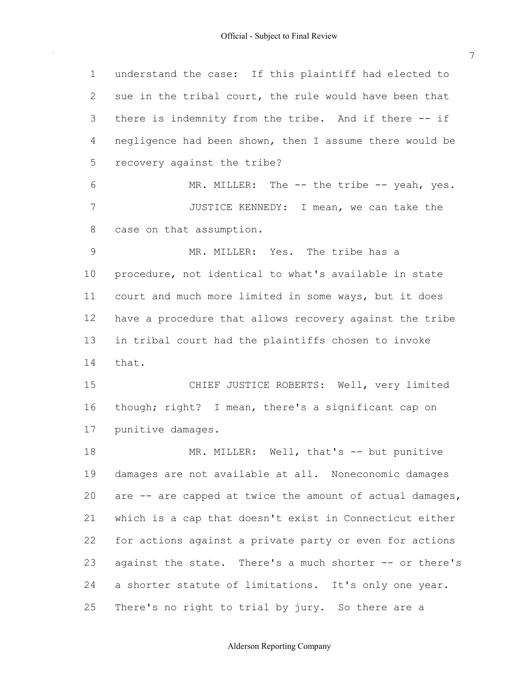$\mathcal{A}^{\mathcal{A}}$ 

| $\mathbf 1$  | understand the case: If this plaintiff had elected to    |
|--------------|----------------------------------------------------------|
| $\mathbf{2}$ | sue in the tribal court, the rule would have been that   |
| 3            | there is indemnity from the tribe. And if there -- if    |
| 4            | negligence had been shown, then I assume there would be  |
| 5            | recovery against the tribe?                              |
| 6            | MR. MILLER: The -- the tribe -- yeah, yes.               |
| 7            | JUSTICE KENNEDY: I mean, we can take the                 |
| 8            | case on that assumption.                                 |
| $\mathsf{9}$ | MR. MILLER: Yes. The tribe has a                         |
| 10           | procedure, not identical to what's available in state    |
| 11           | court and much more limited in some ways, but it does    |
| 12           | have a procedure that allows recovery against the tribe  |
| 13           | in tribal court had the plaintiffs chosen to invoke      |
| 14           | that.                                                    |
| 15           | CHIEF JUSTICE ROBERTS: Well, very limited                |
| 16           | though; right? I mean, there's a significant cap on      |
| 17           | punitive damages.                                        |
| 18           | MR. MILLER: Well, that's -- but punitive                 |
| 19           | damages are not available at all. Noneconomic damages    |
| 20           | are -- are capped at twice the amount of actual damages, |
| 21           | which is a cap that doesn't exist in Connecticut either  |
| 22           | for actions against a private party or even for actions  |
| 23           | against the state. There's a much shorter -- or there's  |
| 24           | a shorter statute of limitations. It's only one year.    |
| 25           | There's no right to trial by jury. So there are a        |

# Alderson Reporting Company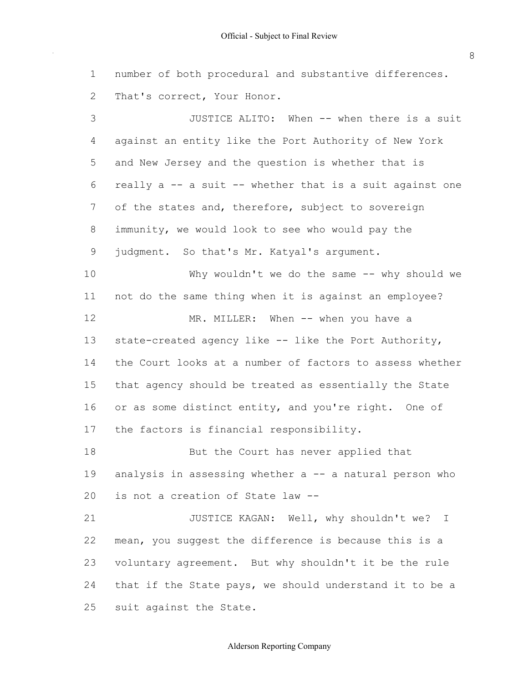number of both procedural and substantive differences. That's correct, Your Honor. 1 2

 against an entity like the Port Authority of New York and New Jersey and the question is whether that is really a -- a suit -- whether that is a suit against one of the states and, therefore, subject to sovereign immunity, we would look to see who would pay the judgment. So that's Mr. Katyal's argument. not do the same thing when it is against an employee? state-created agency like -- like the Port Authority, the Court looks at a number of factors to assess whether that agency should be treated as essentially the State or as some distinct entity, and you're right. One of the factors is financial responsibility. analysis in assessing whether a -- a natural person who is not a creation of State law -- mean, you suggest the difference is because this is a voluntary agreement. But why shouldn't it be the rule 3 4 5 6 7 8 9 10 11 12 13 14 15 16 17 18 19  $20$ 21 22 23 JUSTICE ALITO: When -- when there is a suit Why wouldn't we do the same -- why should we MR. MILLER: When -- when you have a But the Court has never applied that JUSTICE KAGAN: Well, why shouldn't we? I

 that if the State pays, we should understand it to be a suit against the State. 24 25

#### Alderson Reporting Company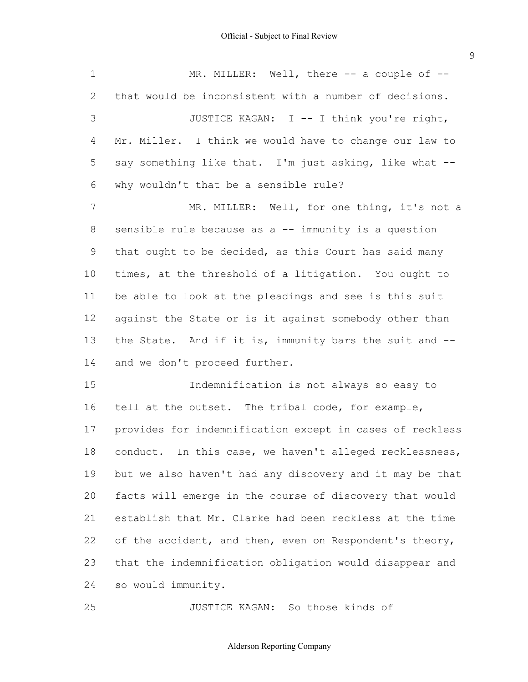$\sim$ 

| $\mathbf 1$ | MR. MILLER: Well, there $-$ a couple of $-$              |
|-------------|----------------------------------------------------------|
| 2           | that would be inconsistent with a number of decisions.   |
| 3           | JUSTICE KAGAN: I -- I think you're right,                |
| 4           | Mr. Miller. I think we would have to change our law to   |
| 5           | say something like that. I'm just asking, like what --   |
| 6           | why wouldn't that be a sensible rule?                    |
| 7           | MR. MILLER: Well, for one thing, it's not a              |
| $8\,$       | sensible rule because as a -- immunity is a question     |
| 9           | that ought to be decided, as this Court has said many    |
| 10          | times, at the threshold of a litigation. You ought to    |
| 11          | be able to look at the pleadings and see is this suit    |
| 12          | against the State or is it against somebody other than   |
| 13          | the State. And if it is, immunity bars the suit and --   |
| 14          | and we don't proceed further.                            |
| 15          | Indemnification is not always so easy to                 |
| 16          | tell at the outset. The tribal code, for example,        |
| 17          | provides for indemnification except in cases of reckless |
| 18          | conduct. In this case, we haven't alleged recklessness,  |
| 19          | but we also haven't had any discovery and it may be that |
| 20          | facts will emerge in the course of discovery that would  |
| 21          | establish that Mr. Clarke had been reckless at the time  |
| 22          | of the accident, and then, even on Respondent's theory,  |
| 23          | that the indemnification obligation would disappear and  |
| 24          | so would immunity.                                       |
|             |                                                          |

25 JUSTICE KAGAN: So those kinds of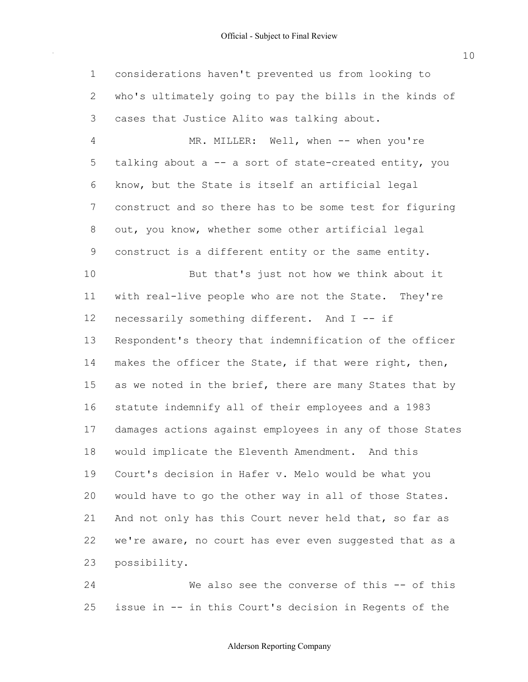considerations haven't prevented us from looking to who's ultimately going to pay the bills in the kinds of cases that Justice Alito was talking about. 1 2 3

 talking about a -- a sort of state-created entity, you know, but the State is itself an artificial legal construct and so there has to be some test for figuring out, you know, whether some other artificial legal construct is a different entity or the same entity. with real-live people who are not the State. They're necessarily something different. And I -- if Respondent's theory that indemnification of the officer makes the officer the State, if that were right, then, as we noted in the brief, there are many States that by statute indemnify all of their employees and a 1983 damages actions against employees in any of those States would implicate the Eleventh Amendment. And this Court's decision in Hafer v. Melo would be what you would have to go the other way in all of those States. And not only has this Court never held that, so far as we're aware, no court has ever even suggested that as a 4 5 6 7 8 9 10 11 12 13 14 15 16 17 18 19 20 21 22 23 MR. MILLER: Well, when -- when you're But that's just not how we think about it possibility.

 issue in -- in this Court's decision in Regents of the 24 25 We also see the converse of this -- of this

# Alderson Reporting Company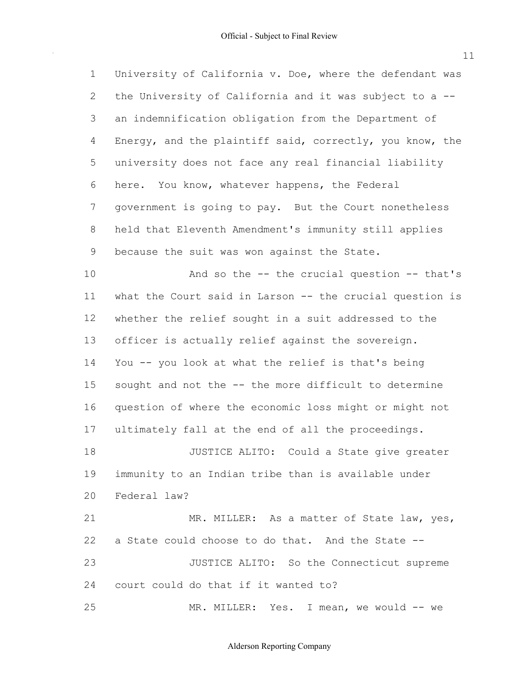University of California v. Doe, where the defendant was the University of California and it was subject to a -- an indemnification obligation from the Department of Energy, and the plaintiff said, correctly, you know, the university does not face any real financial liability here. You know, whatever happens, the Federal government is going to pay. But the Court nonetheless held that Eleventh Amendment's immunity still applies because the suit was won against the State. what the Court said in Larson -- the crucial question is whether the relief sought in a suit addressed to the officer is actually relief against the sovereign. You -- you look at what the relief is that's being sought and not the -- the more difficult to determine question of where the economic loss might or might not ultimately fall at the end of all the proceedings. immunity to an Indian tribe than is available under a State could choose to do that. And the State -- 1 2 3 4 5 6 7 8 9 10 11 12 13 14 15 16 17 18 19 20 21 22 23 And so the -- the crucial question -- that's JUSTICE ALITO: Could a State give greater Federal law? MR. MILLER: As a matter of State law, yes, JUSTICE ALITO: So the Connecticut supreme

 court could do that if it wanted to? 24

25 MR. MILLER: Yes. I mean, we would -- we 11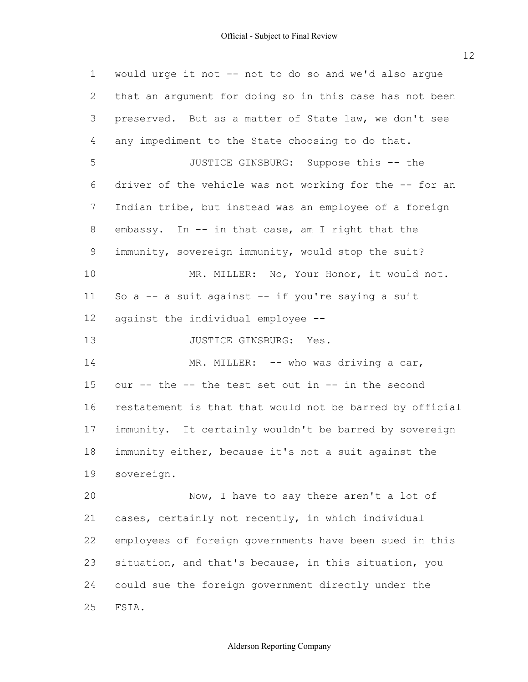would urge it not -- not to do so and we'd also argue that an argument for doing so in this case has not been preserved. But as a matter of State law, we don't see any impediment to the State choosing to do that. driver of the vehicle was not working for the -- for an Indian tribe, but instead was an employee of a foreign embassy. In -- in that case, am I right that the immunity, sovereign immunity, would stop the suit? So a -- a suit against -- if you're saying a suit against the individual employee -- our -- the -- the test set out in -- in the second restatement is that that would not be barred by official immunity. It certainly wouldn't be barred by sovereign immunity either, because it's not a suit against the cases, certainly not recently, in which individual employees of foreign governments have been sued in this situation, and that's because, in this situation, you could sue the foreign government directly under the 1 2 3 4 5 6 7 8 9 10 11 12 13 14 15 16 17 18 19 20 21 22 23 24 25 JUSTICE GINSBURG: Suppose this -- the MR. MILLER: No, Your Honor, it would not. JUSTICE GINSBURG: Yes. MR. MILLER: -- who was driving a car, sovereign. Now, I have to say there aren't a lot of FSIA.

# Alderson Reporting Company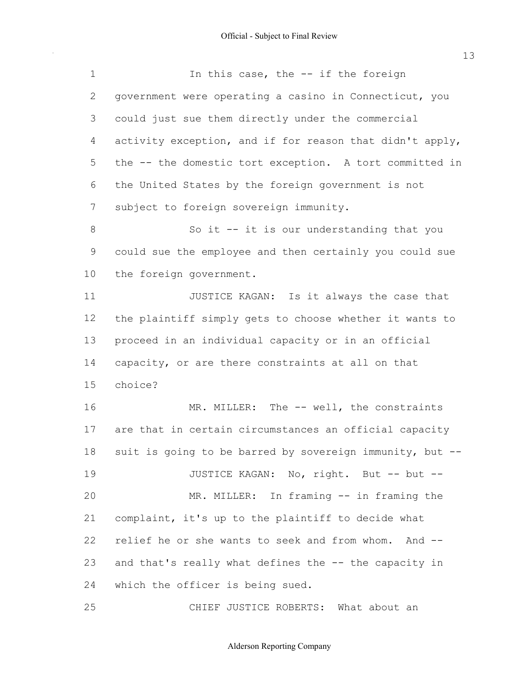$\bar{\gamma}$ 

| $\mathbf 1$  | In this case, the -- if the foreign                      |
|--------------|----------------------------------------------------------|
| $\mathbf{2}$ | government were operating a casino in Connecticut, you   |
| 3            | could just sue them directly under the commercial        |
| 4            | activity exception, and if for reason that didn't apply, |
| 5            | the -- the domestic tort exception. A tort committed in  |
| 6            | the United States by the foreign government is not       |
| 7            | subject to foreign sovereign immunity.                   |
| $\,8\,$      | So it -- it is our understanding that you                |
| $\mathsf 9$  | could sue the employee and then certainly you could sue  |
| 10           | the foreign government.                                  |
| 11           | JUSTICE KAGAN: Is it always the case that                |
| 12           | the plaintiff simply gets to choose whether it wants to  |
| 13           | proceed in an individual capacity or in an official      |
| 14           | capacity, or are there constraints at all on that        |
| 15           | choice?                                                  |
| 16           | MR. MILLER: The -- well, the constraints                 |
| 17           | are that in certain circumstances an official capacity   |
| 18           | suit is going to be barred by sovereign immunity, but -- |
| 19           | JUSTICE KAGAN: No, right. But -- but --                  |
| 20           | MR. MILLER: In framing -- in framing the                 |
| 21           | complaint, it's up to the plaintiff to decide what       |
| 22           | relief he or she wants to seek and from whom. And --     |
| 23           | and that's really what defines the -- the capacity in    |
| 24           | which the officer is being sued.                         |
| 25           | CHIEF JUSTICE ROBERTS: What about an                     |

Alderson Reporting Company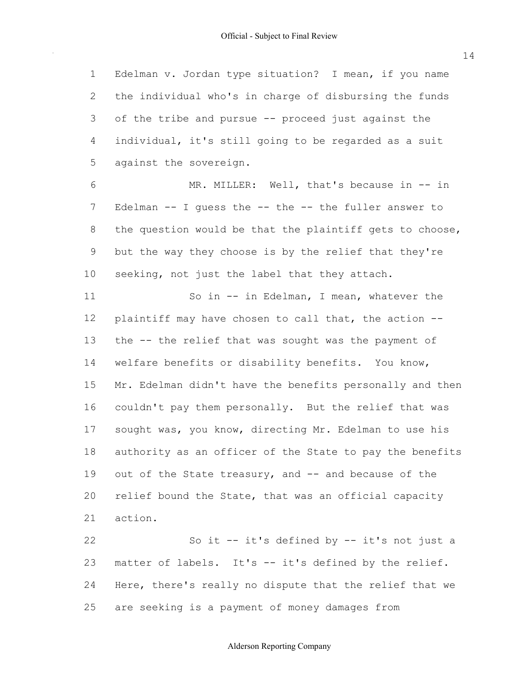Edelman v. Jordan type situation? I mean, if you name the individual who's in charge of disbursing the funds of the tribe and pursue -- proceed just against the individual, it's still going to be regarded as a suit against the sovereign. 1 2 3 4 5

 Edelman -- I guess the -- the -- the fuller answer to the question would be that the plaintiff gets to choose, but the way they choose is by the relief that they're seeking, not just the label that they attach. 6 7 8 9 10 MR. MILLER: Well, that's because in -- in

 plaintiff may have chosen to call that, the action -- the -- the relief that was sought was the payment of welfare benefits or disability benefits. You know, Mr. Edelman didn't have the benefits personally and then couldn't pay them personally. But the relief that was sought was, you know, directing Mr. Edelman to use his authority as an officer of the State to pay the benefits out of the State treasury, and -- and because of the relief bound the State, that was an official capacity 11 12 13 14 15 16 17 18 19 20 21 So in -- in Edelman, I mean, whatever the action.

 matter of labels. It's -- it's defined by the relief. Here, there's really no dispute that the relief that we are seeking is a payment of money damages from 22 23 24 25 So it -- it's defined by -- it's not just a

14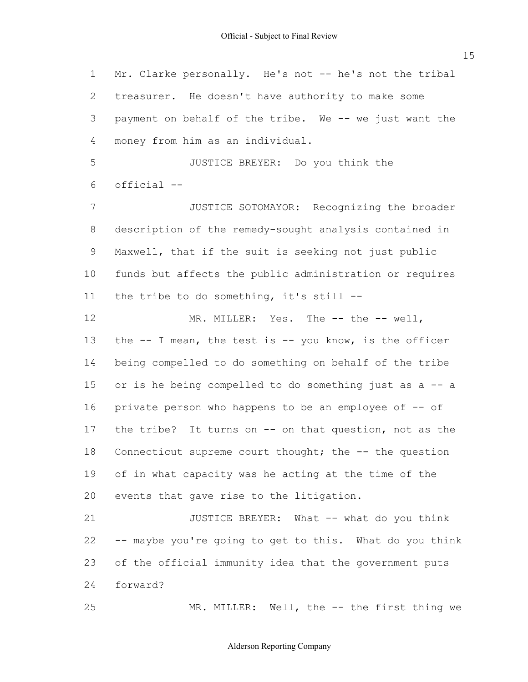Mr. Clarke personally. He's not -- he's not the tribal treasurer. He doesn't have authority to make some payment on behalf of the tribe. We -- we just want the money from him as an individual. 1 2 3 4

5  $6 \overline{6}$ JUSTICE BREYER: Do you think the official --

 description of the remedy-sought analysis contained in Maxwell, that if the suit is seeking not just public funds but affects the public administration or requires the tribe to do something, it's still -- 7 8 9 10 11 JUSTICE SOTOMAYOR: Recognizing the broader

 the -- I mean, the test is -- you know, is the officer being compelled to do something on behalf of the tribe or is he being compelled to do something just as a -- a private person who happens to be an employee of -- of the tribe? Connecticut supreme court thought; the -- the question of in what capacity was he acting at the time of the events that gave rise to the litigation. 12 13 14 15 16 17 18 19 20 MR. MILLER: Yes. The -- the -- well, It turns on  $--$  on that question, not as the

 -- maybe you're going to get to this. What do you think of the official immunity idea that the government puts 21 22 23 24 JUSTICE BREYER: What -- what do you think forward?

25

MR. MILLER: Well, the -- the first thing we

#### Alderson Reporting Company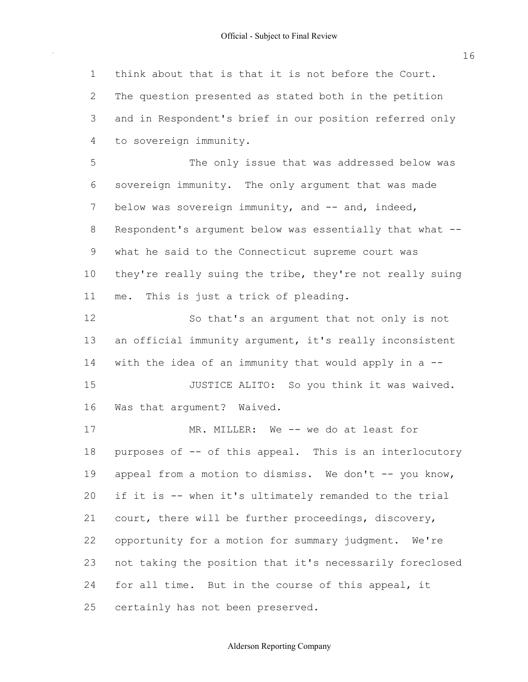think about that is that it is not before the Court. The question presented as stated both in the petition and in Respondent's brief in our position referred only sovereign immunity. The only argument that was made below was sovereign immunity, and -- and, indeed, Respondent's argument below was essentially that what -- what he said to the Connecticut supreme court was they're really suing the tribe, they're not really suing me. This is just a trick of pleading. an official immunity argument, it's really inconsistent with the idea of an immunity that would apply in a -- Was that argument? Waived. purposes of -- of this appeal. This is an interlocutory appeal from a motion to dismiss. We don't -- you know, if it is -- when it's ultimately remanded to the trial court, there will be further proceedings, discovery, opportunity for a motion for summary judgment. We're not taking the position that it's necessarily foreclosed for all time. But in the course of this appeal, it certainly has not been preserved. 1 2 3 4 5 6 7 8 9 10 11 12 13 14 15 16 17 18 19 20 21 22 23 24 25 to sovereign immunity. The only issue that was addressed below was So that's an argument that not only is not JUSTICE ALITO: So you think it was waived. MR. MILLER: We -- we do at least for

#### Alderson Reporting Company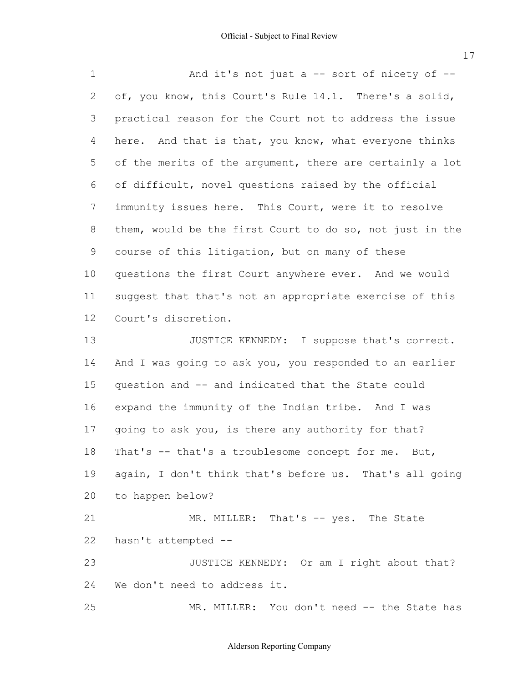$\sim 10^{-1}$ 

| $\mathbf 1$ | And it's not just a $-$ sort of nicety of $-$            |
|-------------|----------------------------------------------------------|
| 2           | of, you know, this Court's Rule 14.1. There's a solid,   |
| 3           | practical reason for the Court not to address the issue  |
| 4           | here. And that is that, you know, what everyone thinks   |
| 5           | of the merits of the argument, there are certainly a lot |
| 6           | of difficult, novel questions raised by the official     |
| 7           | immunity issues here. This Court, were it to resolve     |
| 8           | them, would be the first Court to do so, not just in the |
| $\mathsf 9$ | course of this litigation, but on many of these          |
| 10          | questions the first Court anywhere ever. And we would    |
| 11          | suggest that that's not an appropriate exercise of this  |
| 12          | Court's discretion.                                      |
| 13          | JUSTICE KENNEDY: I suppose that's correct.               |
| 14          | And I was going to ask you, you responded to an earlier  |
| 15          | question and -- and indicated that the State could       |
| 16          | expand the immunity of the Indian tribe. And I was       |
| 17          | going to ask you, is there any authority for that?       |
| 18          | That's -- that's a troublesome concept for me. But,      |
| 19          | again, I don't think that's before us. That's all going  |
| 20          | to happen below?                                         |
| 21          | MR. MILLER: That's -- yes. The State                     |
| 22          | hasn't attempted --                                      |
| 23          | JUSTICE KENNEDY: Or am I right about that?               |
| 24          | We don't need to address it.                             |
| 25          | MR. MILLER: You don't need -- the State has              |

# Alderson Reporting Company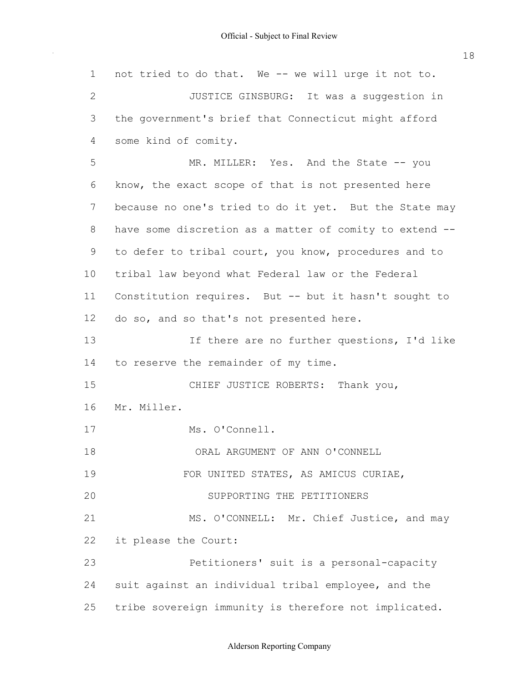not tried to do that. We -- we will urge it not to. the government's brief that Connecticut might afford some kind of comity. know, the exact scope of that is not presented here because no one's tried to do it yet. But the State may have some discretion as a matter of comity to extend -- to defer to tribal court, you know, procedures and to tribal law beyond what Federal law or the Federal Constitution requires. But -- but it hasn't sought to do so, and so that's not presented here. to reserve the remainder of my time. it please the Court: suit against an individual tribal employee, and the tribe sovereign immunity is therefore not implicated. 1 2 3 4 5 6 7 8 9 10 11 12 13 14 15 16 17 18 19  $20$ 21 22 23 24 25 JUSTICE GINSBURG: It was a suggestion in MR. MILLER: Yes. And the State -- you If there are no further questions, I'd like CHIEF JUSTICE ROBERTS: Thank you, Mr. Miller. Ms. O'Connell. ORAL ARGUMENT OF ANN O'CONNELL FOR UNITED STATES, AS AMICUS CURIAE, SUPPORTING THE PETITIONERS MS. O'CONNELL: Mr. Chief Justice, and may Petitioners' suit is a personal-capacity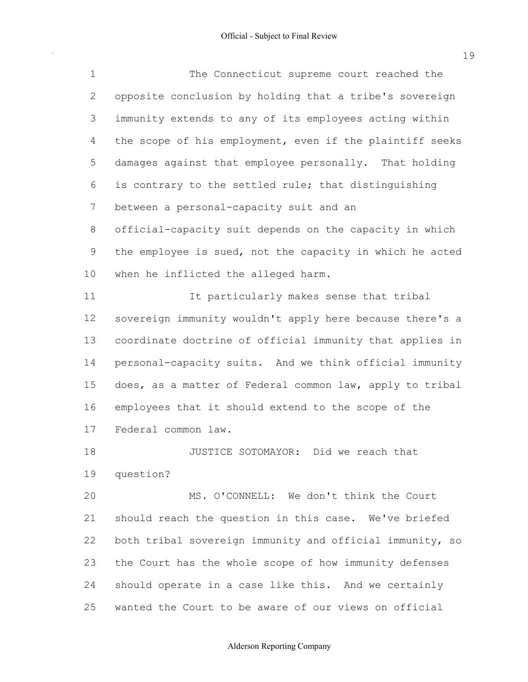$\sim$ 

| $\mathbf 1$    | The Connecticut supreme court reached the                |
|----------------|----------------------------------------------------------|
| $\overline{2}$ | opposite conclusion by holding that a tribe's sovereign  |
| 3              | immunity extends to any of its employees acting within   |
| 4              | the scope of his employment, even if the plaintiff seeks |
| 5              | damages against that employee personally. That holding   |
| 6              | is contrary to the settled rule; that distinguishing     |
| 7              | between a personal-capacity suit and an                  |
| 8              | official-capacity suit depends on the capacity in which  |
| $\mathsf 9$    | the employee is sued, not the capacity in which he acted |
| 10             | when he inflicted the alleged harm.                      |
| 11             | It particularly makes sense that tribal                  |
| 12             | sovereign immunity wouldn't apply here because there's a |
| 13             | coordinate doctrine of official immunity that applies in |
| 14             | personal-capacity suits. And we think official immunity  |
| 15             | does, as a matter of Federal common law, apply to tribal |
| 16             | employees that it should extend to the scope of the      |
| 17             | Federal common law.                                      |
| 18             | JUSTICE SOTOMAYOR: Did we reach that                     |
| 19             | question?                                                |
| 20             | MS. O'CONNELL: We don't think the Court                  |
| 21             | should reach the question in this case. We've briefed    |
| 22             | both tribal sovereign immunity and official immunity, so |
| 23             | the Court has the whole scope of how immunity defenses   |
| 24             | should operate in a case like this. And we certainly     |

25 wanted the Court to be aware of our views on official

# 19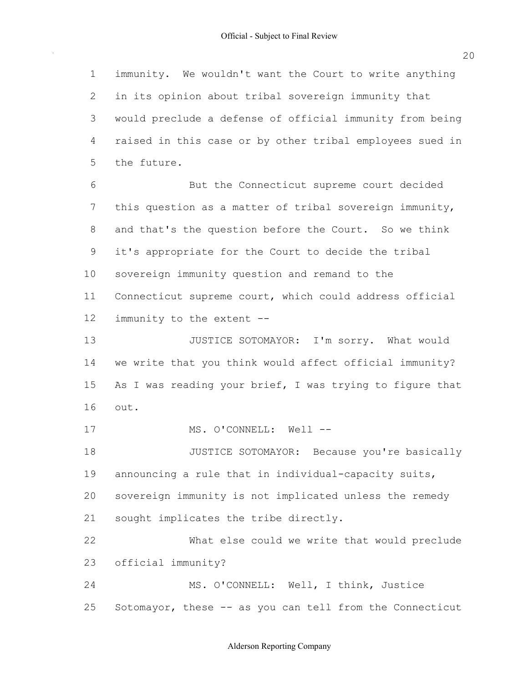immunity. We wouldn't want the Court to write anything in its opinion about tribal sovereign immunity that would preclude a defense of official immunity from being raised in this case or by other tribal employees sued in this question as a matter of tribal sovereign immunity, and that's the question before the Court. So we think it's appropriate for the Court to decide the tribal sovereign immunity question and remand to the Connecticut supreme court, which could address official immunity to the extent -- we write that you think would affect official immunity? As I was reading your brief, I was trying to figure that announcing a rule that in individual-capacity suits, sovereign immunity is not implicated unless the remedy sought implicates the tribe directly. Sotomayor, these -- as you can tell from the Connecticut 1 2 3 4 5  $6 \overline{6}$ 7 8 9 10 11 12 13 14 15 16 17 18 19  $20$ 21 22 23 24 25 the future. But the Connecticut supreme court decided JUSTICE SOTOMAYOR: I'm sorry. What would out. MS. O'CONNELL: Well --JUSTICE SOTOMAYOR: Because you're basically What else could we write that would preclude official immunity? MS. O'CONNELL: Well, I think, Justice

# Alderson Reporting Company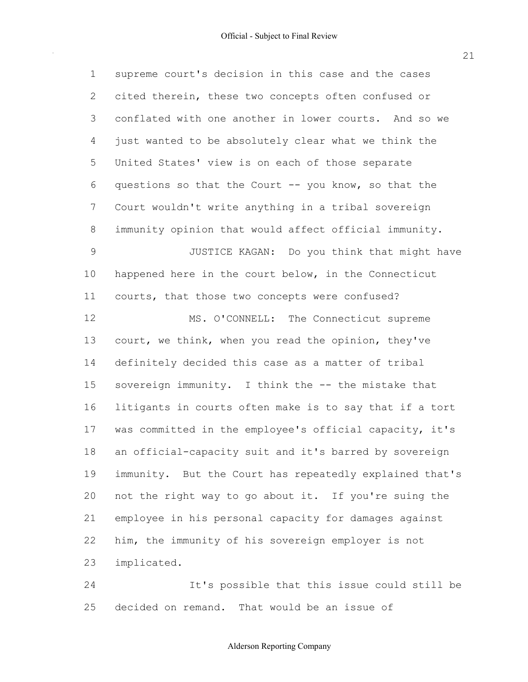1

2

3

4

5

6

7

8

9

10

11

12

13

 supreme court's decision in this case and the cases cited therein, these two concepts often confused or conflated with one another in lower courts. And so we just wanted to be absolutely clear what we think the United States' view is on each of those separate questions so that the Court -- you know, so that the Court wouldn't write anything in a tribal sovereign immunity opinion that would affect official immunity. happened here in the court below, in the Connecticut courts, that those two concepts were confused? court, we think, when you read the opinion, they've JUSTICE KAGAN: Do you think that might have MS. O'CONNELL: The Connecticut supreme

 definitely decided this case as a matter of tribal sovereign immunity. I think the -- the mistake that litigants in courts often make is to say that if a tort was committed in the employee's official capacity, it's an official-capacity suit and it's barred by sovereign immunity. But the Court has repeatedly explained that's not the right way to go about it. If you're suing the employee in his personal capacity for damages against him, the immunity of his sovereign employer is not 14 15 16 17 18 19 20 21 22 23 implicated.

 decided on remand. That would be an issue of 24 25 It's possible that this issue could still be

# Alderson Reporting Company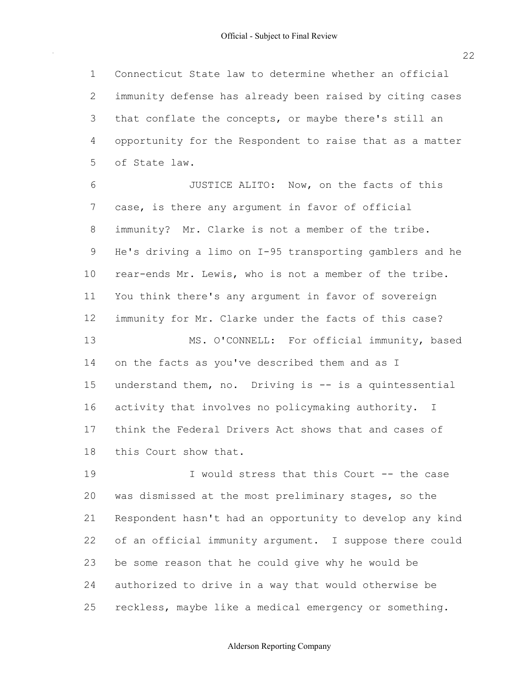22

 Connecticut State law to determine whether an official immunity defense has already been raised by citing cases that conflate the concepts, or maybe there's still an opportunity for the Respondent to raise that as a matter of State law. 1 2 3 4 5

 case, is there any argument in favor of official immunity? Mr. Clarke is not a member of the tribe. He's driving a limo on I-95 transporting gamblers and he rear-ends Mr. Lewis, who is not a member of the tribe. You think there's any argument in favor of sovereign immunity for Mr. Clarke under the facts of this case? on the facts as you've described them and as I understand them, no. Driving is -- is a quintessential activity that involves no policymaking authority. I think the Federal Drivers Act shows that and cases of this Court show that. 6 7 8 9 10 11 12 13 14 15 16 17 18 JUSTICE ALITO: Now, on the facts of this MS. O'CONNELL: For official immunity, based

 was dismissed at the most preliminary stages, so the Respondent hasn't had an opportunity to develop any kind of an official immunity argument. I suppose there could be some reason that he could give why he would be authorized to drive in a way that would otherwise be reckless, maybe like a medical emergency or something. 19  $20^{\circ}$ 21 22 23 24 25 I would stress that this Court -- the case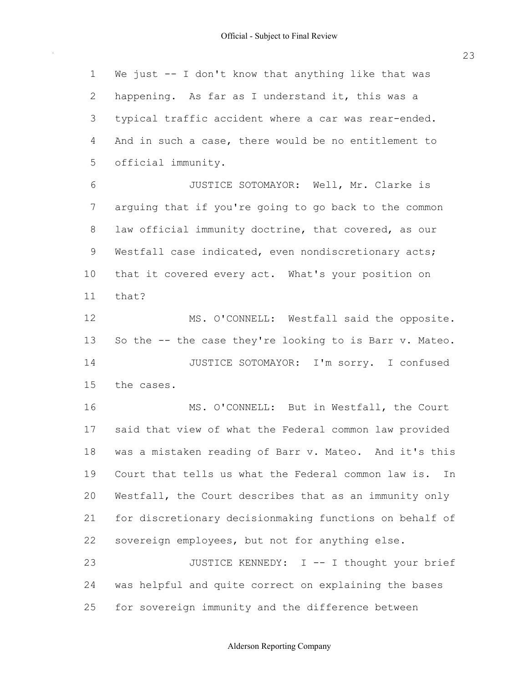$\mathcal{A}^{\mathcal{A}}$ 

| $\mathbf 1$    | We just -- I don't know that anything like that was       |
|----------------|-----------------------------------------------------------|
| $\mathbf{2}$   | happening. As far as I understand it, this was a          |
| 3              | typical traffic accident where a car was rear-ended.      |
| $\overline{4}$ | And in such a case, there would be no entitlement to      |
| 5              | official immunity.                                        |
| 6              | JUSTICE SOTOMAYOR: Well, Mr. Clarke is                    |
| $\overline{7}$ | arguing that if you're going to go back to the common     |
| 8              | law official immunity doctrine, that covered, as our      |
| 9              | Westfall case indicated, even nondiscretionary acts;      |
| 10             | that it covered every act. What's your position on        |
| 11             | that?                                                     |
| 12             | MS. O'CONNELL: Westfall said the opposite.                |
| 13             | So the -- the case they're looking to is Barr v. Mateo.   |
| 14             | JUSTICE SOTOMAYOR: I'm sorry. I confused                  |
| 15             | the cases.                                                |
| 16             | MS. O'CONNELL: But in Westfall, the Court                 |
| 17             | said that view of what the Federal common law provided    |
| 18             | was a mistaken reading of Barr v. Mateo. And it's this    |
| 19             | Court that tells us what the Federal common law is.<br>In |
| 20             | Westfall, the Court describes that as an immunity only    |
| 21             | for discretionary decisionmaking functions on behalf of   |
| 22             | sovereign employees, but not for anything else.           |
| 23             | JUSTICE KENNEDY: I -- I thought your brief                |
| 24             | was helpful and quite correct on explaining the bases     |
| 25             | for sovereign immunity and the difference between         |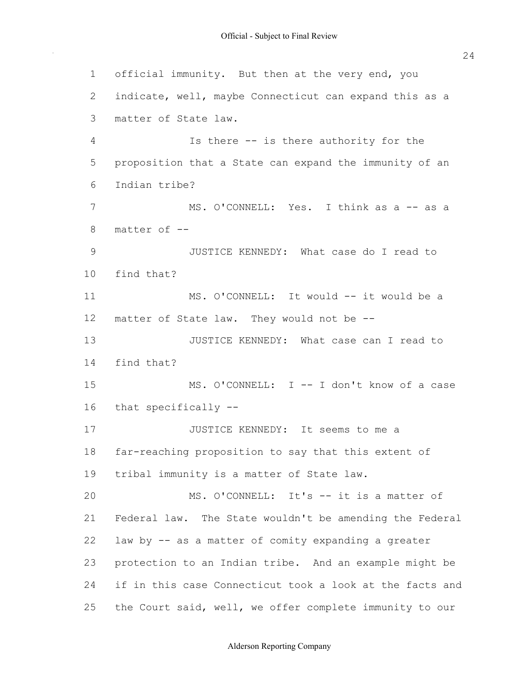official immunity. But then at the very end, you indicate, well, maybe Connecticut can expand this as a matter of State law. proposition that a State can expand the immunity of an matter of -- matter of State law. They would not be -- far-reaching proposition to say that this extent of tribal immunity is a matter of State law. Federal law. The State wouldn't be amending the Federal law by -- as a matter of comity expanding a greater protection to an Indian tribe. And an example might be if in this case Connecticut took a look at the facts and the Court said, well, we offer complete immunity to our 1 2 3 4 5  $6 \overline{6}$ 7 8 9 10 11 12 13 14 15 16 17 18 19 20 21 22 23 24 25 Is there -- is there authority for the Indian tribe? MS. O'CONNELL: Yes. I think as a -- as a JUSTICE KENNEDY: What case do I read to find that? MS. O'CONNELL: It would -- it would be a JUSTICE KENNEDY: What case can I read to find that? MS. O'CONNELL: I -- I don't know of a case that specifically -- JUSTICE KENNEDY: It seems to me a MS. O'CONNELL: It's -- it is a matter of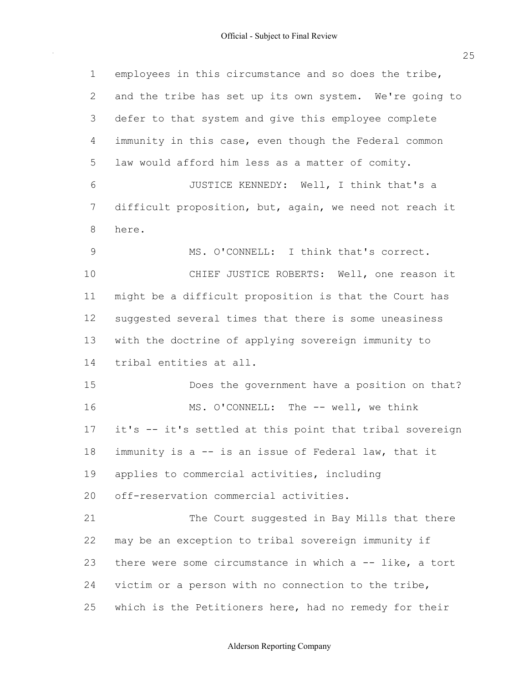$\hat{\mathcal{A}}$ 

| m.           |
|--------------|
| . .          |
| ٦<br>w<br>۰. |

| $\mathbf 1$    | employees in this circumstance and so does the tribe,      |
|----------------|------------------------------------------------------------|
| $\overline{2}$ | and the tribe has set up its own system. We're going to    |
| 3              | defer to that system and give this employee complete       |
| 4              | immunity in this case, even though the Federal common      |
| 5              | law would afford him less as a matter of comity.           |
| 6              | JUSTICE KENNEDY: Well, I think that's a                    |
| 7              | difficult proposition, but, again, we need not reach it    |
| 8              | here.                                                      |
| $\mathcal{G}$  | MS. O'CONNELL: I think that's correct.                     |
| 10             | CHIEF JUSTICE ROBERTS: Well, one reason it                 |
| 11             | might be a difficult proposition is that the Court has     |
| 12             | suggested several times that there is some uneasiness      |
| 13             | with the doctrine of applying sovereign immunity to        |
| 14             | tribal entities at all.                                    |
| 15             | Does the government have a position on that?               |
| 16             | MS. O'CONNELL: The -- well, we think                       |
| 17             | it's -- it's settled at this point that tribal sovereign   |
| 18             | immunity is a -- is an issue of Federal law, that it       |
| 19             | applies to commercial activities, including                |
| 20             | off-reservation commercial activities.                     |
| 21             | The Court suggested in Bay Mills that there                |
| 22             | may be an exception to tribal sovereign immunity if        |
| 23             | there were some circumstance in which $a - -$ like, a tort |
| 24             | victim or a person with no connection to the tribe,        |
| 25             | which is the Petitioners here, had no remedy for their     |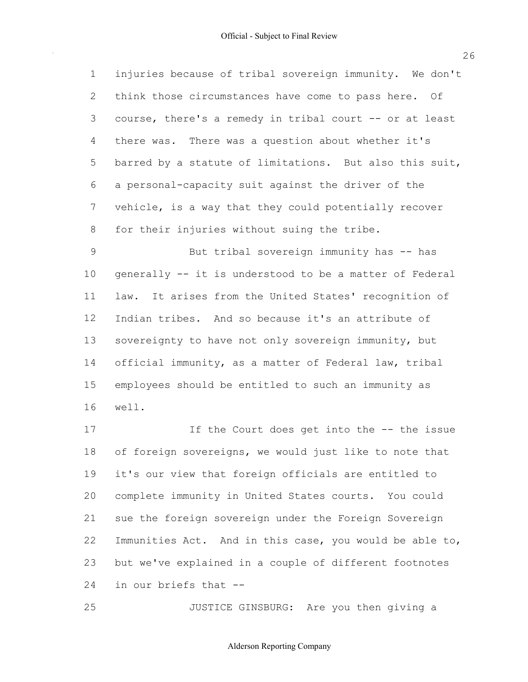|                | 1 injuries because of tribal sovereign immunity. We don't |
|----------------|-----------------------------------------------------------|
|                | 2 think those circumstances have come to pass here. Of    |
| 3 <sup>7</sup> | course, there's a remedy in tribal court -- or at least   |
|                | 4 there was. There was a question about whether it's      |
| 5 <sup>5</sup> | barred by a statute of limitations. But also this suit,   |
| 6              | a personal-capacity suit against the driver of the        |
| 7 <sup>7</sup> | vehicle, is a way that they could potentially recover     |
| 8              | for their injuries without suing the tribe.               |

 generally -- it is understood to be a matter of Federal law. It arises from the United States' recognition of Indian tribes. And so because it's an attribute of sovereignty to have not only sovereign immunity, but official immunity, as a matter of Federal law, tribal employees should be entitled to such an immunity as 9 10 11 12 13 14 15 16 But tribal sovereign immunity has -- has well.

 of foreign sovereigns, we would just like to note that it's our view that foreign officials are entitled to complete immunity in United States courts. You could sue the foreign sovereign under the Foreign Sovereign Immunities Act. And in this case, you would be able to, but we've explained in a couple of different footnotes in our briefs that -- 17 18 19 20 21 22 23 24 If the Court does get into the -- the issue

25 JUSTICE GINSBURG: Are you then giving a

#### Alderson Reporting Company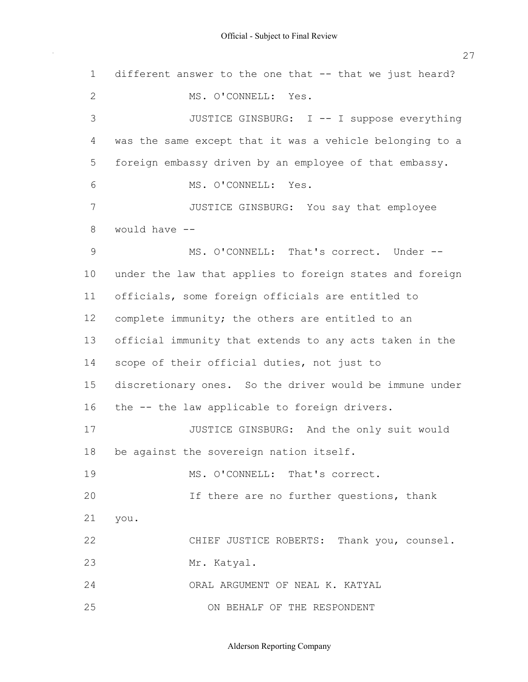different answer to the one that -- that we just heard? was the same except that it was a vehicle belonging to a foreign embassy driven by an employee of that embassy. would have -- under the law that applies to foreign states and foreign officials, some foreign officials are entitled to complete immunity; the others are entitled to an official immunity that extends to any acts taken in the scope of their official duties, not just to discretionary ones. So the driver would be immune under the -- the law applicable to foreign drivers. be against the sovereign nation itself. 1 2 3 4 5 6 7 8 9 10 11 12 13 14 15 16 17 18 19 20 21 22 23 24 25 MS. O'CONNELL: Yes. JUSTICE GINSBURG: I -- I suppose everything MS. O'CONNELL: Yes. JUSTICE GINSBURG: You say that employee MS. O'CONNELL: That's correct. Under -- JUSTICE GINSBURG: And the only suit would MS. O'CONNELL: That's correct. If there are no further questions, thank you. CHIEF JUSTICE ROBERTS: Thank you, counsel. Mr. Katyal. ORAL ARGUMENT OF NEAL K. KATYAL ON BEHALF OF THE RESPONDENT

Alderson Reporting Company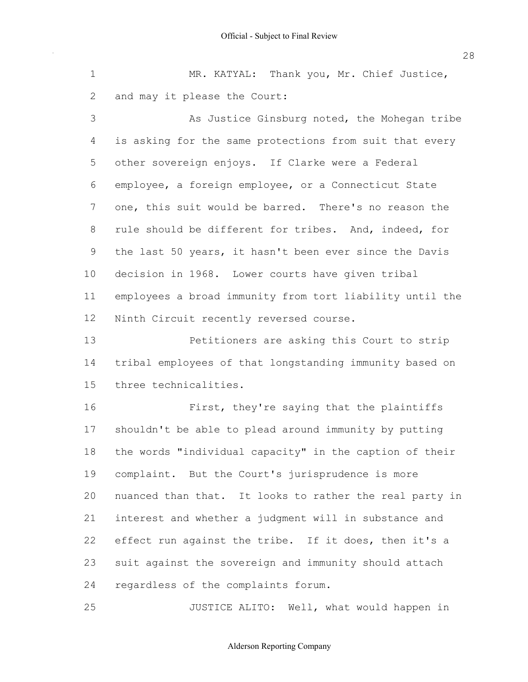and may it please the Court: 1 2 MR. KATYAL: Thank you, Mr. Chief Justice,

 is asking for the same protections from suit that every other sovereign enjoys. If Clarke were a Federal employee, a foreign employee, or a Connecticut State one, this suit would be barred. There's no reason the rule should be different for tribes. And, indeed, for the last 50 years, it hasn't been ever since the Davis decision in 1968. Lower courts have given tribal employees a broad immunity from tort liability until the Ninth Circuit recently reversed course. 3 4 5 6 7 8 9 10 11 12 As Justice Ginsburg noted, the Mohegan tribe

 tribal employees of that longstanding immunity based on 13 14 15 Petitioners are asking this Court to strip three technicalities.

 shouldn't be able to plead around immunity by putting the words "individual capacity" in the caption of their complaint. But the Court's jurisprudence is more nuanced than that. It looks to rather the real party in interest and whether a judgment will in substance and effect run against the tribe. If it does, then it's a suit against the sovereign and immunity should attach regardless of the complaints forum. 16 17 18 19 20 21 22 23 24 First, they're saying that the plaintiffs

25 JUSTICE ALITO: Well, what would happen in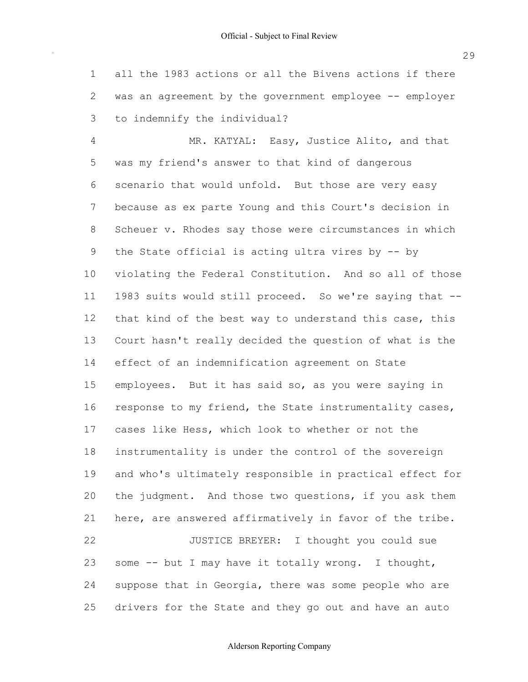all the 1983 actions or all the Bivens actions if there was an agreement by the government employee -- employer to indemnify the individual? 1 2 3

 was my friend's answer to that kind of dangerous scenario that would unfold. But those are very easy because as ex parte Young and this Court's decision in Scheuer v. Rhodes say those were circumstances in which the State official is acting ultra vires by -- by violating the Federal Constitution. And so all of those 1983 suits would still proceed. So we're saying that -- that kind of the best way to understand this case, this Court hasn't really decided the question of what is the effect of an indemnification agreement on State employees. But it has said so, as you were saying in response to my friend, the State instrumentality cases, cases like Hess, which look to whether or not the instrumentality is under the control of the sovereign and who's ultimately responsible in practical effect for the judgment. And those two questions, if you ask them here, are answered affirmatively in favor of the tribe. some -- but I may have it totally wrong. I thought, suppose that in Georgia, there was some people who are drivers for the State and they go out and have an auto 4 5 6 7 8 9 10 11 12 13 14 15 16 17 18 19 20 21 22 23 24 25 MR. KATYAL: Easy, Justice Alito, and that JUSTICE BREYER: I thought you could sue

# Alderson Reporting Company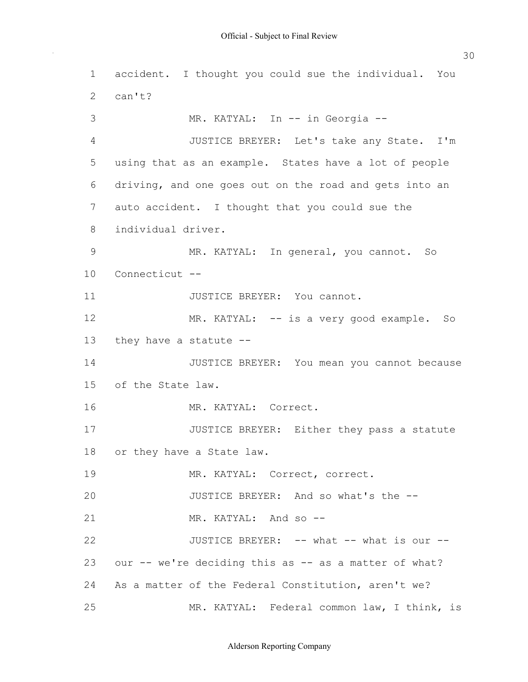$\sim$ 

| $\mathbf 1$ | accident. I thought you could sue the individual. You  |
|-------------|--------------------------------------------------------|
| 2           | can't?                                                 |
| 3           | MR. KATYAL: In -- in Georgia --                        |
| 4           | JUSTICE BREYER: Let's take any State. I'm              |
| 5           | using that as an example. States have a lot of people  |
| 6           | driving, and one goes out on the road and gets into an |
| 7           | auto accident. I thought that you could sue the        |
| 8           | individual driver.                                     |
| 9           | MR. KATYAL: In general, you cannot. So                 |
| 10          | Connecticut --                                         |
| 11          | JUSTICE BREYER: You cannot.                            |
| 12          | MR. KATYAL: -- is a very good example. So              |
| 13          | they have a statute $-$ -                              |
| 14          | JUSTICE BREYER: You mean you cannot because            |
| 15          | of the State law.                                      |
| 16          | MR. KATYAL: Correct.                                   |
| 17          | JUSTICE BREYER: Either they pass a statute             |
| 18          | or they have a State law.                              |
| 19          | MR. KATYAL: Correct, correct.                          |
| 20          | JUSTICE BREYER: And so what's the --                   |
| 21          | MR. KATYAL: And so --                                  |
| 22          | JUSTICE BREYER: -- what -- what is our --              |
| 23          | our -- we're deciding this as -- as a matter of what?  |
| 24          | As a matter of the Federal Constitution, aren't we?    |
| 25          | MR. KATYAL: Federal common law, I think, is            |

Alderson Reporting Company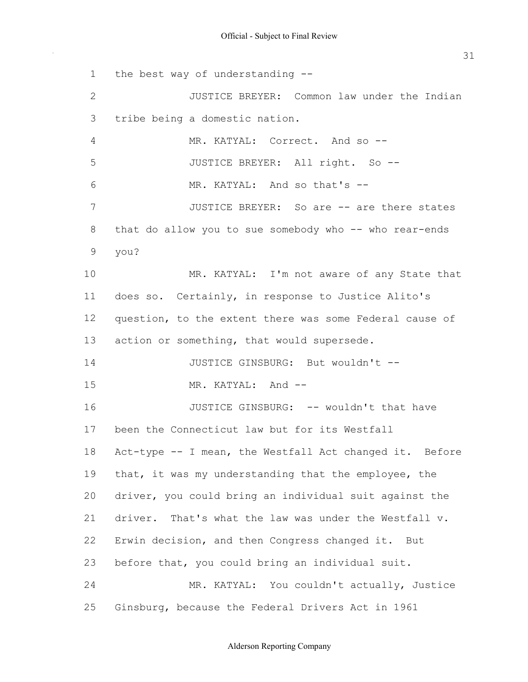the best way of understanding -- tribe being a domestic nation. that do allow you to sue somebody who -- who rear-ends does so. Certainly, in response to Justice Alito's question, to the extent there was some Federal cause of action or something, that would supersede. been the Connecticut law but for its Westfall Act-type -- I mean, the Westfall Act changed it. Before that, it was my understanding that the employee, the driver, you could bring an individual suit against the driver. That's what the law was under the Westfall v. Erwin decision, and then Congress changed it. But before that, you could bring an individual suit. Ginsburg, because the Federal Drivers Act in 1961 1 2 3 4 5 6 7 8 9 10 11 12 13 14 15 16 17 18 19  $20$ 21 22 23 24 25 JUSTICE BREYER: Common law under the Indian MR. KATYAL: Correct. And so --JUSTICE BREYER: All right. So -- MR. KATYAL: And so that's -- JUSTICE BREYER: So are -- are there states you? MR. KATYAL: I'm not aware of any State that JUSTICE GINSBURG: But wouldn't -- MR. KATYAL: And --JUSTICE GINSBURG: -- wouldn't that have MR. KATYAL: You couldn't actually, Justice

#### Alderson Reporting Company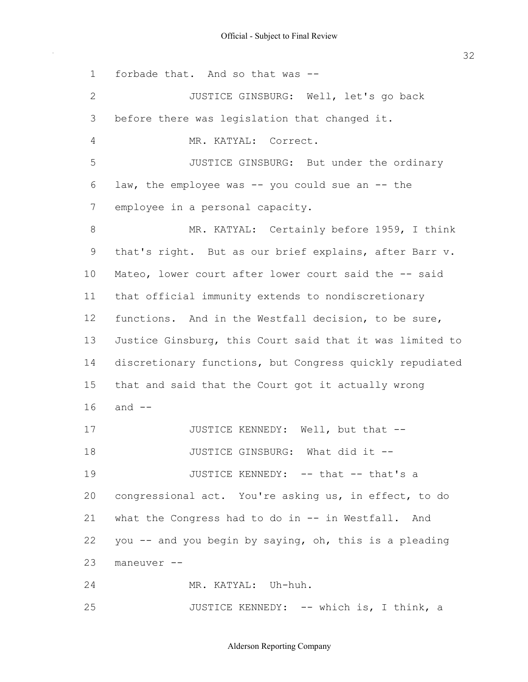$\sim$ 

32

| $\mathbf 1$    | forbade that. And so that was --                         |
|----------------|----------------------------------------------------------|
| $\mathbf{2}$   | JUSTICE GINSBURG: Well, let's go back                    |
| 3              | before there was legislation that changed it.            |
| $\overline{4}$ | MR. KATYAL: Correct.                                     |
| 5              | JUSTICE GINSBURG: But under the ordinary                 |
| 6              | law, the employee was -- you could sue an -- the         |
| 7              | employee in a personal capacity.                         |
| 8              | MR. KATYAL: Certainly before 1959, I think               |
| 9              | that's right. But as our brief explains, after Barr v.   |
| 10             | Mateo, lower court after lower court said the -- said    |
| 11             | that official immunity extends to nondiscretionary       |
| 12             | functions. And in the Westfall decision, to be sure,     |
| 13             | Justice Ginsburg, this Court said that it was limited to |
| 14             | discretionary functions, but Congress quickly repudiated |
| 15             | that and said that the Court got it actually wrong       |
| 16             | and $--$                                                 |
| 17             | JUSTICE KENNEDY: Well, but that --                       |
| 18             | JUSTICE GINSBURG: What did it --                         |
| 19             | JUSTICE KENNEDY: -- that -- that's a                     |
| 20             | congressional act. You're asking us, in effect, to do    |
| 21             | what the Congress had to do in -- in Westfall. And       |
| 22             | you -- and you begin by saying, oh, this is a pleading   |
| 23             | maneuver --                                              |
| 24             | MR. KATYAL: Uh-huh.                                      |
| 25             | JUSTICE KENNEDY: -- which is, I think, a                 |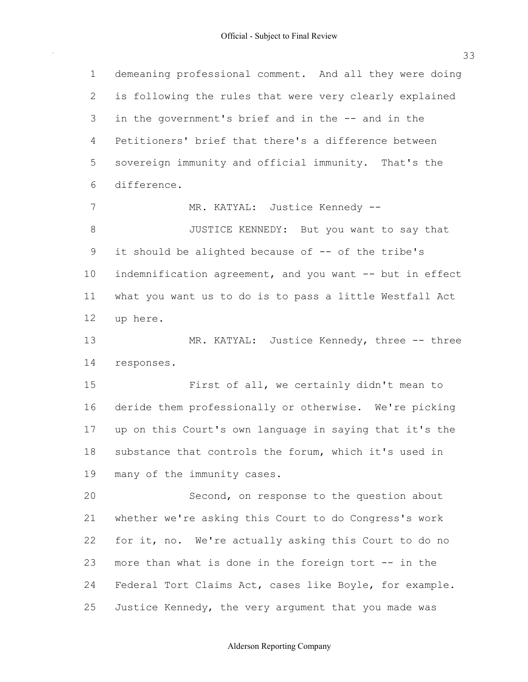33

 demeaning professional comment. And all they were doing is following the rules that were very clearly explained in the government's brief and in the -- and in the Petitioners' brief that there's a difference between sovereign immunity and official immunity. That's the it should be alighted because of -- of the tribe's indemnification agreement, and you want -- but in effect what you want us to do is to pass a little Westfall Act deride them professionally or otherwise. We're picking up on this Court's own language in saying that it's the substance that controls the forum, which it's used in many of the immunity cases. whether we're asking this Court to do Congress's work for it, no. We're actually asking this Court to do no more than what is done in the foreign tort -- in the Federal Tort Claims Act, cases like Boyle, for example. 1 2 3 4 5  $6 \overline{6}$ 7 8 9 10 11 12 13 14 15 16 17 18 19 20 21 22 23 24 25 difference. MR. KATYAL: Justice Kennedy -- JUSTICE KENNEDY: But you want to say that up here. MR. KATYAL: Justice Kennedy, three -- three responses. First of all, we certainly didn't mean to Second, on response to the question about Justice Kennedy, the very argument that you made was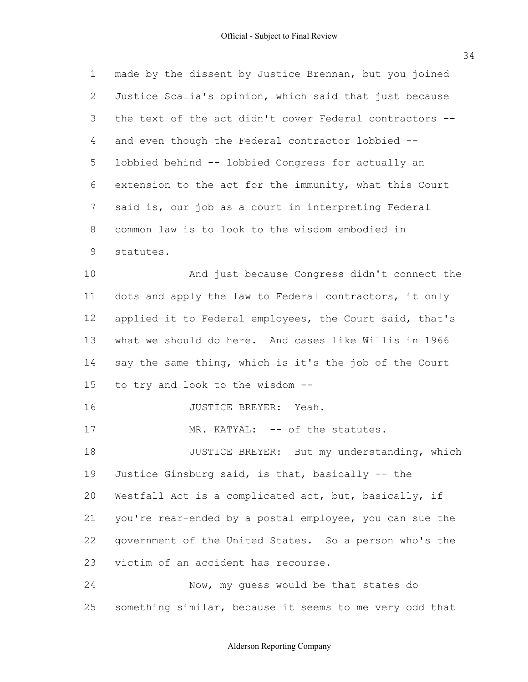made by the dissent by Justice Brennan, but you joined Justice Scalia's opinion, which said that just because the text of the act didn't cover Federal contractors -- and even though the Federal contractor lobbied -- lobbied behind -- lobbied Congress for actually an extension to the act for the immunity, what this Court said is, our job as a court in interpreting Federal common law is to look to the wisdom embodied in 1 2 3 4 5 6 7 8 9 10 statutes. And just because Congress didn't connect the

 dots and apply the law to Federal contractors, it only applied it to Federal employees, the Court said, that's what we should do here. And cases like Willis in 1966 say the same thing, which is it's the job of the Court to try and look to the wisdom -- 11 12 13 14 15

16 JUSTICE BREYER: Yeah.

17 MR. KATYAL: -- of the statutes.

 Justice Ginsburg said, is that, basically -- the Westfall Act is a complicated act, but, basically, if you're rear-ended by a postal employee, you can sue the government of the United States. So a person who's the victim of an accident has recourse. 18 19 20 21 22 23 JUSTICE BREYER: But my understanding, which

 something similar, because it seems to me very odd that 24 25 Now, my guess would be that states do

34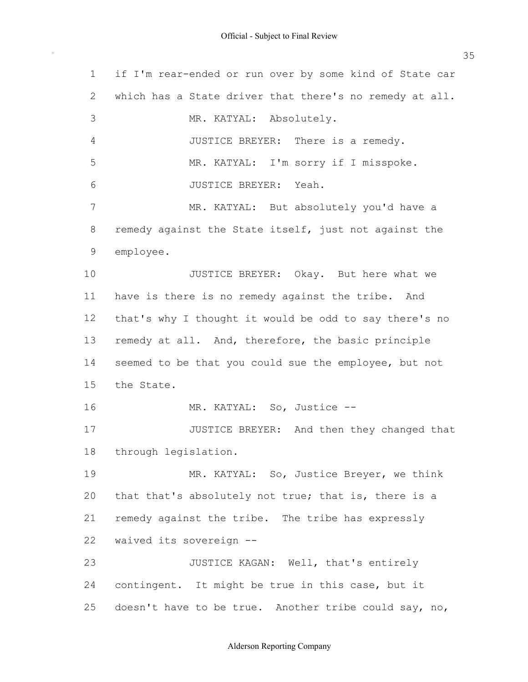if I'm rear-ended or run over by some kind of State car which has a State driver that there's no remedy at all. remedy against the State itself, just not against the have is there is no remedy against the tribe. And that's why I thought it would be odd to say there's no remedy at all. And, therefore, the basic principle seemed to be that you could sue the employee, but not that that's absolutely not true; that is, there is a remedy against the tribe. The tribe has expressly waived its sovereign -- contingent. It might be true in this case, but it doesn't have to be true. Another tribe could say, no, 1 2 3 4 5 6 7 8 9 10 11 12 13 14 15 16 17 18 19 20 21 22 23 24 25 MR. KATYAL: Absolutely. JUSTICE BREYER: There is a remedy. MR. KATYAL: I'm sorry if I misspoke. JUSTICE BREYER: Yeah. MR. KATYAL: But absolutely you'd have a employee. JUSTICE BREYER: Okay. But here what we the State. MR. KATYAL: So, Justice -- JUSTICE BREYER: And then they changed that through legislation. MR. KATYAL: So, Justice Breyer, we think JUSTICE KAGAN: Well, that's entirely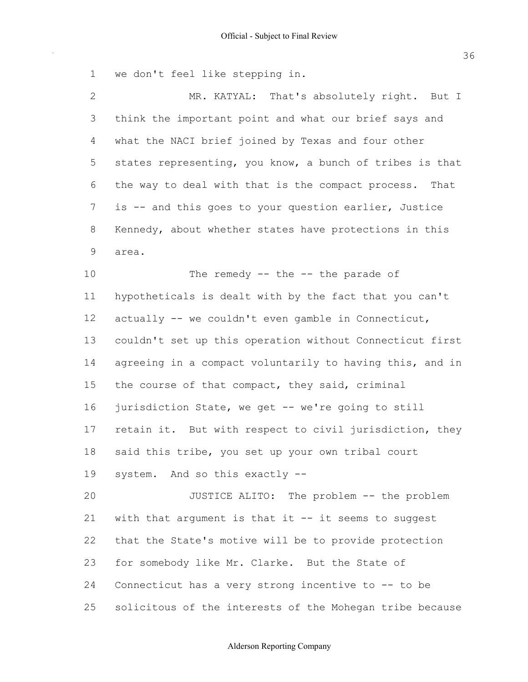we don't feel like stepping in. 1

 $\hat{\mathcal{A}}$ 

| $\overline{2}$ | MR. KATYAL: That's absolutely right. But I               |
|----------------|----------------------------------------------------------|
| 3              | think the important point and what our brief says and    |
| 4              | what the NACI brief joined by Texas and four other       |
| 5              | states representing, you know, a bunch of tribes is that |
| 6              | the way to deal with that is the compact process. That   |
| 7              | is -- and this goes to your question earlier, Justice    |
| 8              | Kennedy, about whether states have protections in this   |
| 9              | area.                                                    |
| 10             | The remedy $--$ the $--$ the parade of                   |
| 11             | hypotheticals is dealt with by the fact that you can't   |
| 12             | actually -- we couldn't even gamble in Connecticut,      |
| 13             | couldn't set up this operation without Connecticut first |
| 14             | agreeing in a compact voluntarily to having this, and in |
| 15             | the course of that compact, they said, criminal          |
| 16             | jurisdiction State, we get -- we're going to still       |
| 17             | retain it. But with respect to civil jurisdiction, they  |
| 18             | said this tribe, you set up your own tribal court        |
| 19             | system. And so this exactly --                           |
| 20             | JUSTICE ALITO: The problem -- the problem                |
| 21             | with that argument is that it -- it seems to suggest     |
| 22             | that the State's motive will be to provide protection    |
| 23             | for somebody like Mr. Clarke. But the State of           |
| 24             | Connecticut has a very strong incentive to -- to be      |
| 25             | solicitous of the interests of the Mohegan tribe because |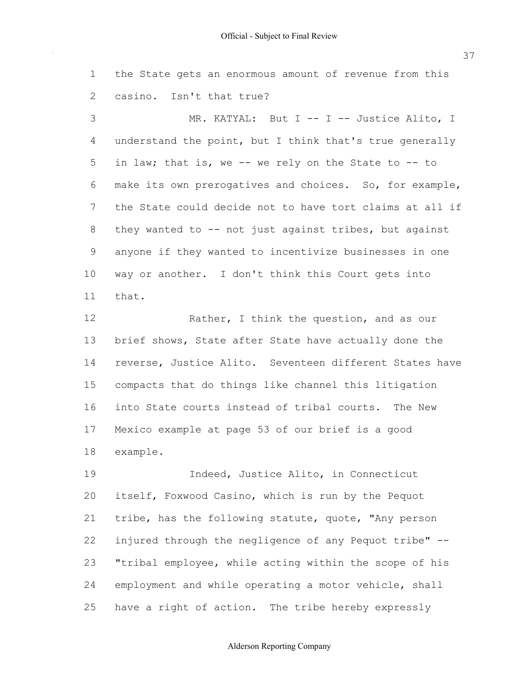the State gets an enormous amount of revenue from this casino. Isn't that true? 1 2

 understand the point, but I think that's true generally in law; that is, we -- we rely on the State to -- to make its own prerogatives and choices. So, for example, the State could decide not to have tort claims at all if they wanted to -- not just against tribes, but against anyone if they wanted to incentivize businesses in one way or another. I don't think this Court gets into 3 4 5 6 7 8 9 10 11 MR. KATYAL: But I -- I -- Justice Alito, I that.

 brief shows, State after State have actually done the reverse, Justice Alito. Seventeen different States have compacts that do things like channel this litigation into State courts instead of tribal courts. The New Mexico example at page 53 of our brief is a good 12 13 14 15 16 17 18 Rather, I think the question, and as our example.

 itself, Foxwood Casino, which is run by the Pequot tribe, has the following statute, quote, "Any person injured through the negligence of any Pequot tribe" -- "tribal employee, while acting within the scope of his employment and while operating a motor vehicle, shall have a right of action. The tribe hereby expressly 19 20 21 22 23 24 25 Indeed, Justice Alito, in Connecticut

# 37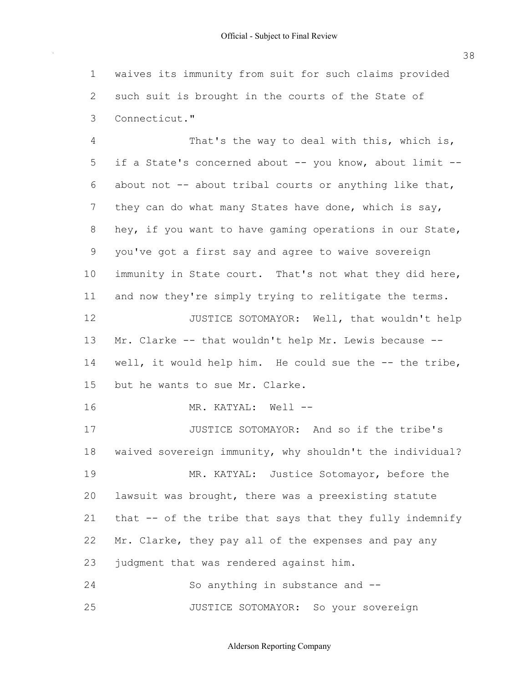waives its immunity from suit for such claims provided such suit is brought in the courts of the State of 1 2 3 Connecticut."

if a State's concerned about -- you know, about limit -about not -- about tribal courts or anything like that, they can do what many States have done, which is say, hey, if you want to have gaming operations in our State, you've got a first say and agree to waive sovereign immunity in State court. That's not what they did here, and now they're simply trying to relitigate the terms. Mr. Clarke -- that wouldn't help Mr. Lewis because -- 4 5 6 7 8 9 10 11 12 13 That's the way to deal with this, which is, JUSTICE SOTOMAYOR: Well, that wouldn't help

well, it would help him. He could sue the -- the tribe, but he wants to sue Mr. Clarke. 14 15

16 MR. KATYAL: Well --

 waived sovereign immunity, why shouldn't the individual? lawsuit was brought, there was a preexisting statute that -- of the tribe that says that they fully indemnify Mr. Clarke, they pay all of the expenses and pay any judgment that was rendered against him. 17 18 19 20 21 22 23 24 JUSTICE SOTOMAYOR: And so if the tribe's MR. KATYAL: Justice Sotomayor, before the So anything in substance and --

25 JUSTICE SOTOMAYOR: So your sovereign

Alderson Reporting Company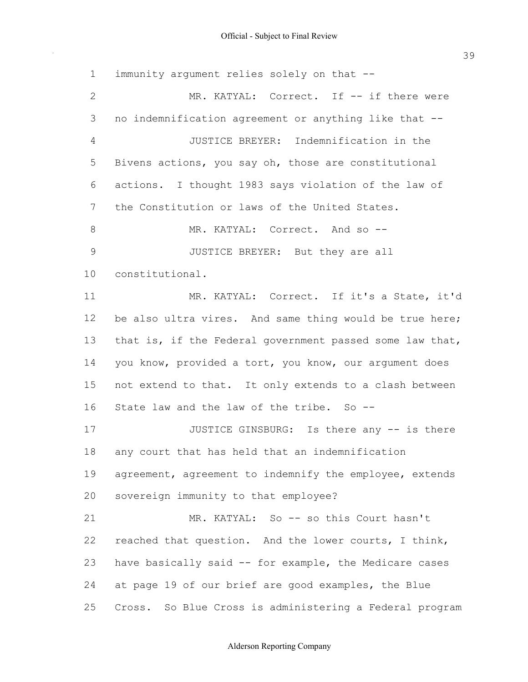immunity argument relies solely on that -- no indemnification agreement or anything like that -- Bivens actions, you say oh, those are constitutional actions. I thought 1983 says violation of the law of the Constitution or laws of the United States. be also ultra vires. And same thing would be true here; that is, if the Federal government passed some law that, you know, provided a tort, you know, our argument does not extend to that. It only extends to a clash between State law and the law of the tribe. So -- any court that has held that an indemnification agreement, agreement to indemnify the employee, extends sovereign immunity to that employee? reached that question. And the lower courts, I think, have basically said -- for example, the Medicare cases at page 19 of our brief are good examples, the Blue Cross. So Blue Cross is administering a Federal program 1 2 3 4 5 6 7 8 9 10 11 12 13 14 15 16 17 18 19 20 21 22 23 24 25 MR. KATYAL: Correct. If -- if there were JUSTICE BREYER: Indemnification in the MR. KATYAL: Correct. And so -- JUSTICE BREYER: But they are all constitutional. MR. KATYAL: Correct. If it's a State, it'd JUSTICE GINSBURG: Is there any -- is there MR. KATYAL: So -- so this Court hasn't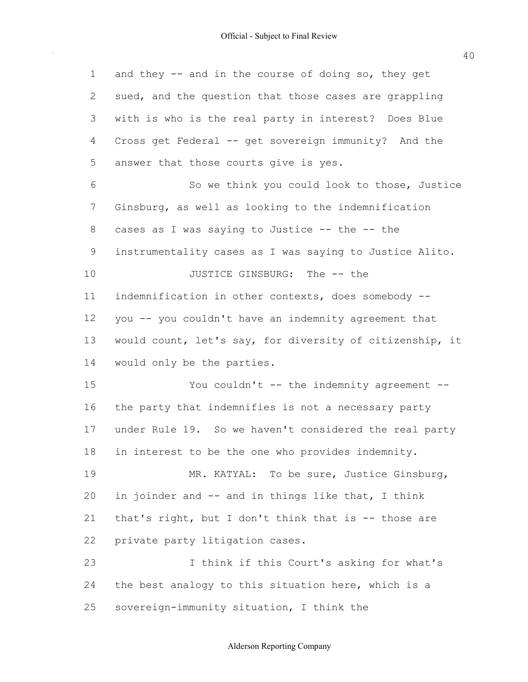and they -- and in the course of doing so, they get sued, and the question that those cases are grappling with is who is the real party in interest? Does Blue Cross get Federal -- get sovereign immunity? And the answer that those courts give is yes. Ginsburg, as well as looking to the indemnification cases as I was saying to Justice -- the -- the instrumentality cases as I was saying to Justice Alito. indemnification in other contexts, does somebody -- you -- you couldn't have an indemnity agreement that would count, let's say, for diversity of citizenship, it would only be the parties. the party that indemnifies is not a necessary party under Rule 19. So we haven't considered the real party in interest to be the one who provides indemnity. in joinder and -- and in things like that, I think that's right, but I don't think that is -- those are private party litigation cases. the best analogy to this situation here, which is a sovereign-immunity situation, I think the 1 2 3 4 5 6 7 8 9 10 11 12 13 14 15 16 17 18 19 20 21 22 23 24 25 So we think you could look to those, Justice JUSTICE GINSBURG: The -- the You couldn't -- the indemnity agreement --MR. KATYAL: To be sure, Justice Ginsburg, I think if this Court's asking for what's

Alderson Reporting Company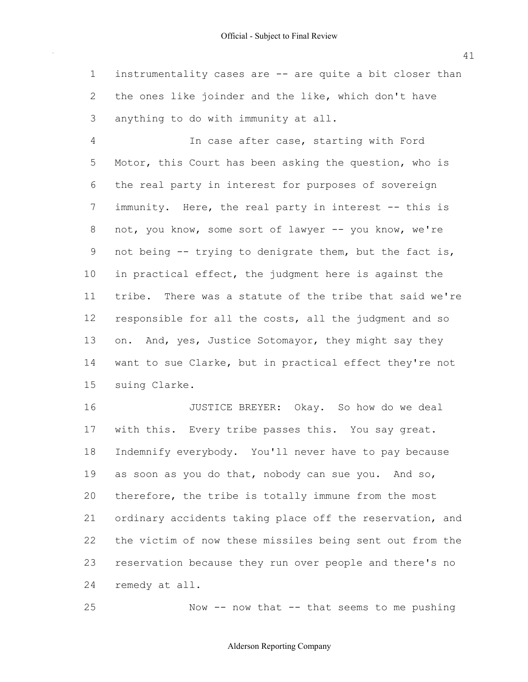instrumentality cases are -- are quite a bit closer than the ones like joinder and the like, which don't have anything to do with immunity at all. 1 2 3

 Motor, this Court has been asking the question, who is the real party in interest for purposes of sovereign immunity. Here, the real party in interest -- this is not, you know, some sort of lawyer -- you know, we're not being -- trying to denigrate them, but the fact is, in practical effect, the judgment here is against the tribe. There was a statute of the tribe that said we're responsible for all the costs, all the judgment and so on. And, yes, Justice Sotomayor, they might say they want to sue Clarke, but in practical effect they're not 4 5 6 7 8 9 10 11 12 13 14 15 In case after case, starting with Ford suing Clarke.

 with this. Every tribe passes this. You say great. Indemnify everybody. You'll never have to pay because as soon as you do that, nobody can sue you. And so, therefore, the tribe is totally immune from the most ordinary accidents taking place off the reservation, and the victim of now these missiles being sent out from the reservation because they run over people and there's no remedy at all. 16 17 18 19 20 21 22 23 24 JUSTICE BREYER: Okay. So how do we deal

Now  $--$  now that  $--$  that seems to me pushing

#### Alderson Reporting Company

25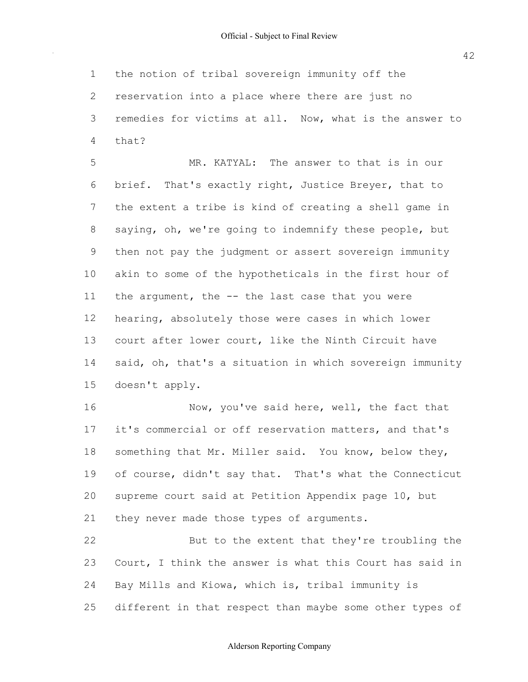the notion of tribal sovereign immunity off the reservation into a place where there are just no remedies for victims at all. Now, what is the answer to 1 2 3 4 that?

 brief. That's exactly right, Justice Breyer, that to the extent a tribe is kind of creating a shell game in saying, oh, we're going to indemnify these people, but then not pay the judgment or assert sovereign immunity akin to some of the hypotheticals in the first hour of the argument, the -- the last case that you were hearing, absolutely those were cases in which lower court after lower court, like the Ninth Circuit have said, oh, that's a situation in which sovereign immunity 5 6 7 8 9 10 11 12 13 14 15 MR. KATYAL: The answer to that is in our doesn't apply.

 it's commercial or off reservation matters, and that's something that Mr. Miller said. You know, below they, of course, didn't say that. That's what the Connecticut supreme court said at Petition Appendix page 10, but they never made those types of arguments. 16 17 18 19 20 21 Now, you've said here, well, the fact that

 Court, I think the answer is what this Court has said in Bay Mills and Kiowa, which is, tribal immunity is different in that respect than maybe some other types of 22 23 24 25 But to the extent that they're troubling the

Alderson Reporting Company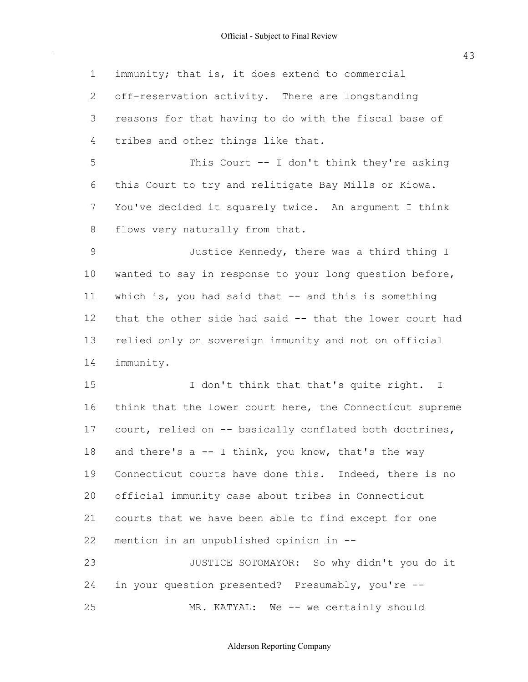immunity; that is, it does extend to commercial off-reservation activity. There are longstanding reasons for that having to do with the fiscal base of tribes and other things like that. this Court to try and relitigate Bay Mills or Kiowa. You've decided it squarely twice. An argument I think flows very naturally from that. wanted to say in response to your long question before, which is, you had said that -- and this is something that the other side had said -- that the lower court had relied only on sovereign immunity and not on official think that the lower court here, the Connecticut supreme court, relied on -- basically conflated both doctrines, and there's a -- I think, you know, that's the way Connecticut courts have done this. Indeed, there is no official immunity case about tribes in Connecticut courts that we have been able to find except for one mention in an unpublished opinion in -- in your question presented? Presumably, you're -- 1 2 3 4 5 6 7 8 9 10 11 12 13 14 15 16 17 18 19 20 21 22 23 24 25 This Court -- I don't think they're asking Justice Kennedy, there was a third thing I immunity. I don't think that that's quite right. I JUSTICE SOTOMAYOR: So why didn't you do it MR. KATYAL: We -- we certainly should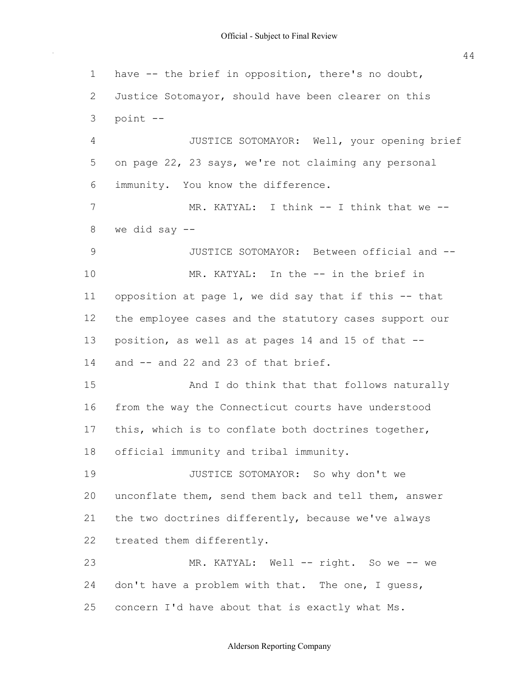have -- the brief in opposition, there's no doubt, Justice Sotomayor, should have been clearer on this on page 22, 23 says, we're not claiming any personal immunity. You know the difference. we did say -- opposition at page 1, we did say that if this -- that the employee cases and the statutory cases support our position, as well as at pages 14 and 15 of that -- and -- and 22 and 23 of that brief. from the way the Connecticut courts have understood this, which is to conflate both doctrines together, official immunity and tribal immunity. unconflate them, send them back and tell them, answer the two doctrines differently, because we've always treated them differently. don't have a problem with that. The one, I guess, concern I'd have about that is exactly what Ms. 1 2 3 4 5 6 7 8 9 10 11 12 13 14 15 16 17 18 19 20 21 22 23 24 25 point -- JUSTICE SOTOMAYOR: Well, your opening brief MR. KATYAL: I think -- I think that we --JUSTICE SOTOMAYOR: Between official and -- MR. KATYAL: In the -- in the brief in And I do think that that follows naturally JUSTICE SOTOMAYOR: So why don't we MR. KATYAL: Well -- right. So we -- we

Alderson Reporting Company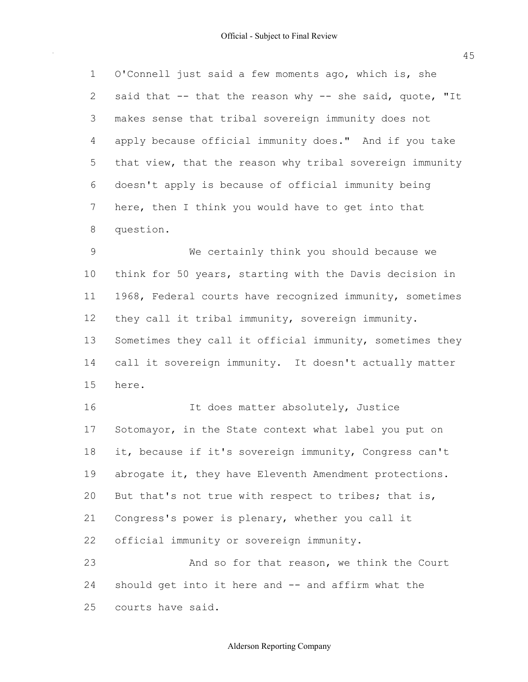O'Connell just said a few moments ago, which is, she said that -- that the reason why -- she said, quote, "It makes sense that tribal sovereign immunity does not apply because official immunity does." And if you take that view, that the reason why tribal sovereign immunity doesn't apply is because of official immunity being here, then I think you would have to get into that 1 2 3 4 5 6 7 8 question.

 think for 50 years, starting with the Davis decision in 1968, Federal courts have recognized immunity, sometimes they call it tribal immunity, sovereign immunity. Sometimes they call it official immunity, sometimes they call it sovereign immunity. It doesn't actually matter 9 10 11 12 13 14 15 We certainly think you should because we here.

 Sotomayor, in the State context what label you put on it, because if it's sovereign immunity, Congress can't abrogate it, they have Eleventh Amendment protections. But that's not true with respect to tribes; that is, Congress's power is plenary, whether you call it official immunity or sovereign immunity. should get into it here and -- and affirm what the 16 17 18 19 20 21 22 23 24 It does matter absolutely, Justice And so for that reason, we think the Court

 courts have said. 25

Alderson Reporting Company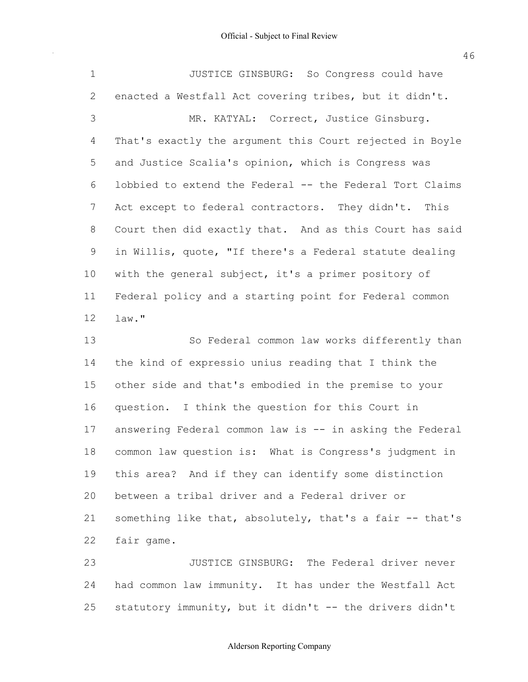$\sim$ 

46

| $\mathbf 1$    | JUSTICE GINSBURG: So Congress could have                 |
|----------------|----------------------------------------------------------|
| $\overline{2}$ | enacted a Westfall Act covering tribes, but it didn't.   |
| 3              | MR. KATYAL: Correct, Justice Ginsburg.                   |
| 4              | That's exactly the argument this Court rejected in Boyle |
| 5              | and Justice Scalia's opinion, which is Congress was      |
| 6              | lobbied to extend the Federal -- the Federal Tort Claims |
| 7              | Act except to federal contractors. They didn't. This     |
| 8              | Court then did exactly that. And as this Court has said  |
| 9              | in Willis, quote, "If there's a Federal statute dealing  |
| 10             | with the general subject, it's a primer pository of      |
| 11             | Federal policy and a starting point for Federal common   |
| 12             | law."                                                    |
| 13             | So Federal common law works differently than             |
|                |                                                          |
| 14             | the kind of expressio unius reading that I think the     |
| 15             | other side and that's embodied in the premise to your    |
| 16             | question. I think the question for this Court in         |
| 17             | answering Federal common law is -- in asking the Federal |
| 18             | common law question is: What is Congress's judgment in   |
| 19             | this area? And if they can identify some distinction     |
| 20             | between a tribal driver and a Federal driver or          |
| 21             | something like that, absolutely, that's a fair -- that's |
| 22             | fair game.                                               |
| 23             | JUSTICE GINSBURG: The Federal driver never               |

 statutory immunity, but it didn't -- the drivers didn't 25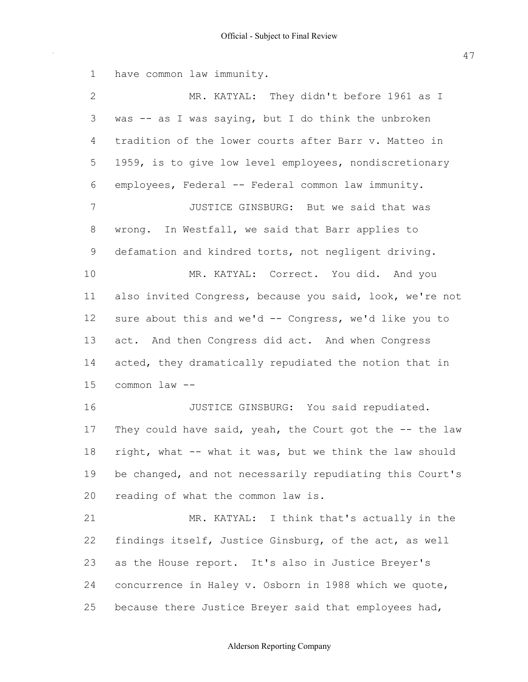have common law immunity. was -- as I was saying, but I do think the unbroken tradition of the lower courts after Barr v. Matteo in 1959, is to give low level employees, nondiscretionary employees, Federal -- Federal common law immunity. wrong. In Westfall, we said that Barr applies to defamation and kindred torts, not negligent driving. also invited Congress, because you said, look, we're not sure about this and we'd -- Congress, we'd like you to act. And then Congress did act. And when Congress acted, they dramatically repudiated the notion that in common law -- They could have said, yeah, the Court got the -- the law right, what -- what it was, but we think the law should be changed, and not necessarily repudiating this Court's reading of what the common law is. findings itself, Justice Ginsburg, of the act, as well as the House report. It's also in Justice Breyer's concurrence in Haley v. Osborn in 1988 which we quote, because there Justice Breyer said that employees had, 1 2 3 4 5 6 7 8 9 10 11 12 13 14 15 16 17 18 19 20 21 22 23 24 25 MR. KATYAL: They didn't before 1961 as I JUSTICE GINSBURG: But we said that was MR. KATYAL: Correct. You did. And you JUSTICE GINSBURG: You said repudiated. MR. KATYAL: I think that's actually in the

#### Alderson Reporting Company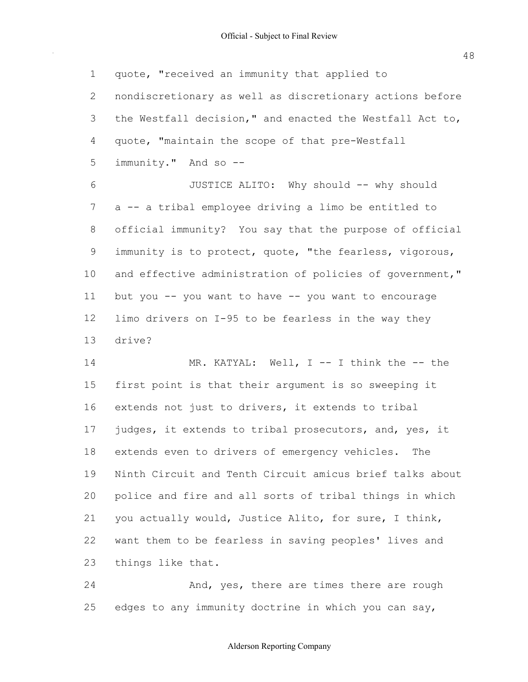quote, "received an immunity that applied to nondiscretionary as well as discretionary actions before the Westfall decision," and enacted the Westfall Act to, quote, "maintain the scope of that pre-Westfall immunity." And so -- a -- a tribal employee driving a limo be entitled to official immunity? You say that the purpose of official immunity is to protect, quote, "the fearless, vigorous, and effective administration of policies of government," but you -- you want to have -- you want to encourage limo drivers on I-95 to be fearless in the way they first point is that their argument is so sweeping it 1 2 3 4 5 6 7 8 9 10 11 12 13 14 15 JUSTICE ALITO: Why should -- why should drive? MR. KATYAL: Well, I -- I think the -- the

 extends not just to drivers, it extends to tribal judges, it extends to tribal prosecutors, and, yes, it extends even to drivers of emergency vehicles. The Ninth Circuit and Tenth Circuit amicus brief talks about police and fire and all sorts of tribal things in which you actually would, Justice Alito, for sure, I think, want them to be fearless in saving peoples' lives and things like that. 16 17 18 19 20 21 22 23

 edges to any immunity doctrine in which you can say, 24 25 And, yes, there are times there are rough

#### Alderson Reporting Company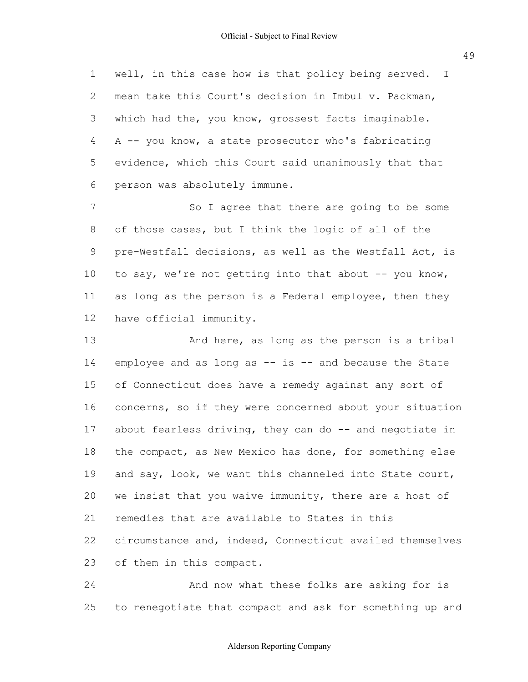well, in this case how is that policy being served. I mean take this Court's decision in Imbul v. Packman, which had the, you know, grossest facts imaginable. A -- you know, a state prosecutor who's fabricating evidence, which this Court said unanimously that that person was absolutely immune. 1 2 3 4 5 6

 of those cases, but I think the logic of all of the pre-Westfall decisions, as well as the Westfall Act, is to say, we're not getting into that about -- you know, as long as the person is a Federal employee, then they have official immunity. 7 8 9 10 11 12 So I agree that there are going to be some

 employee and as long as -- is -- and because the State of Connecticut does have a remedy against any sort of concerns, so if they were concerned about your situation about fearless driving, they can do -- and negotiate in the compact, as New Mexico has done, for something else and say, look, we want this channeled into State court, we insist that you waive immunity, there are a host of remedies that are available to States in this circumstance and, indeed, Connecticut availed themselves of them in this compact. 13 14 15 16 17 18 19 20 21 22 23 And here, as long as the person is a tribal

 to renegotiate that compact and ask for something up and 24 25 And now what these folks are asking for is

# Alderson Reporting Company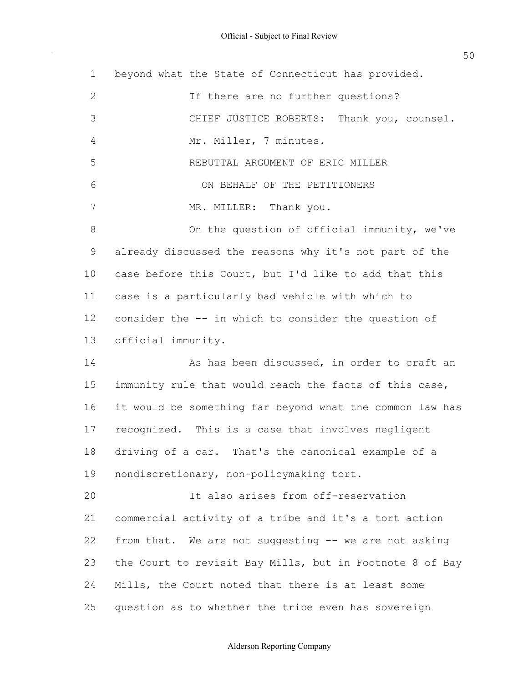beyond what the State of Connecticut has provided. already discussed the reasons why it's not part of the case before this Court, but I'd like to add that this case is a particularly bad vehicle with which to consider the -- in which to consider the question of immunity rule that would reach the facts of this case, it would be something far beyond what the common law has recognized. This is a case that involves negligent driving of a car. That's the canonical example of a commercial activity of a tribe and it's a tort action from that. We are not suggesting -- we are not asking the Court to revisit Bay Mills, but in Footnote 8 of Bay Mills, the Court noted that there is at least some question as to whether the tribe even has sovereign 1 2 3 4 5 6 7 8 9 10 11 12 13 14 15 16 17 18 19 20 21 22 23 24 25 If there are no further questions? CHIEF JUSTICE ROBERTS: Thank you, counsel. Mr. Miller, 7 minutes. REBUTTAL ARGUMENT OF ERIC MILLER ON BEHALF OF THE PETITIONERS MR. MILLER: Thank you. On the question of official immunity, we've official immunity. As has been discussed, in order to craft an nondiscretionary, non-policymaking tort. It also arises from off-reservation

# Alderson Reporting Company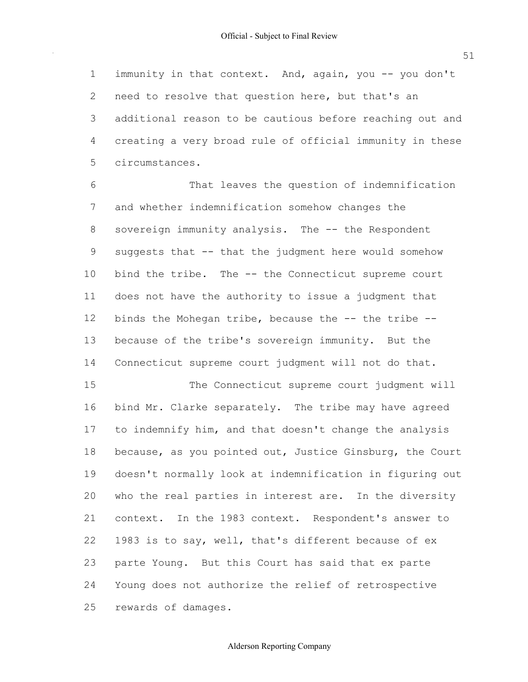immunity in that context. And, again, you -- you don't need to resolve that question here, but that's an additional reason to be cautious before reaching out and creating a very broad rule of official immunity in these 1 2 3 4 5 circumstances.

 and whether indemnification somehow changes the sovereign immunity analysis. The -- the Respondent suggests that -- that the judgment here would somehow bind the tribe. The -- the Connecticut supreme court does not have the authority to issue a judgment that binds the Mohegan tribe, because the -- the tribe -- because of the tribe's sovereign immunity. But the Connecticut supreme court judgment will not do that. 6 7 8 9 10 11 12 13 14 That leaves the question of indemnification

 bind Mr. Clarke separately. The tribe may have agreed to indemnify him, and that doesn't change the analysis because, as you pointed out, Justice Ginsburg, the Court doesn't normally look at indemnification in figuring out who the real parties in interest are. In the diversity context. In the 1983 context. Respondent's answer to 1983 is to say, well, that's different because of ex parte Young. But this Court has said that ex parte Young does not authorize the relief of retrospective rewards of damages. 15 16 17 18 19  $20$ 21 22 23 24 25 The Connecticut supreme court judgment will

# Alderson Reporting Company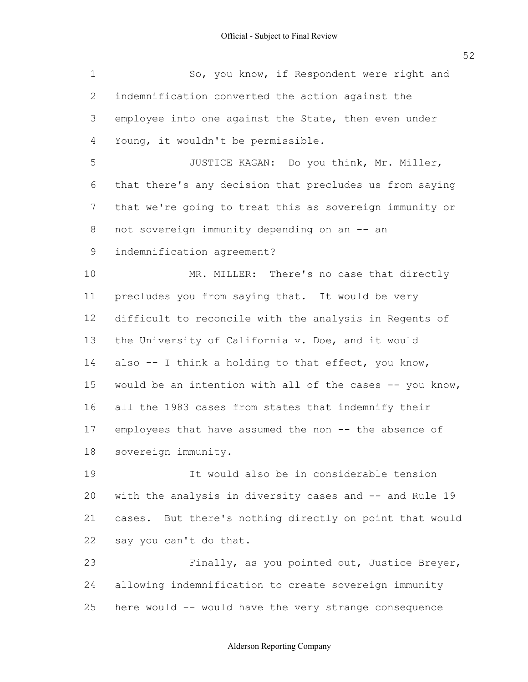$\sim$ 

52

| $\mathbf 1$ | So, you know, if Respondent were right and                 |
|-------------|------------------------------------------------------------|
| 2           | indemnification converted the action against the           |
| 3           | employee into one against the State, then even under       |
| 4           | Young, it wouldn't be permissible.                         |
| 5           | JUSTICE KAGAN: Do you think, Mr. Miller,                   |
| 6           | that there's any decision that precludes us from saying    |
| 7           | that we're going to treat this as sovereign immunity or    |
| 8           | not sovereign immunity depending on an -- an               |
| $\mathsf 9$ | indemnification agreement?                                 |
| 10          | MR. MILLER: There's no case that directly                  |
| 11          | precludes you from saying that. It would be very           |
| 12          | difficult to reconcile with the analysis in Regents of     |
| 13          | the University of California v. Doe, and it would          |
| 14          | also -- I think a holding to that effect, you know,        |
| 15          | would be an intention with all of the cases -- you know,   |
| 16          | all the 1983 cases from states that indemnify their        |
| 17          | employees that have assumed the non -- the absence of      |
| 18          | sovereign immunity.                                        |
| 19          | It would also be in considerable tension                   |
| 20          | with the analysis in diversity cases and -- and Rule 19    |
| 21          | But there's nothing directly on point that would<br>cases. |
| 22          | say you can't do that.                                     |
| 23          | Finally, as you pointed out, Justice Breyer,               |
| 24          | allowing indemnification to create sovereign immunity      |
| 25          | here would -- would have the very strange consequence      |

#### Alderson Reporting Company

here would -- would have the very strange consequence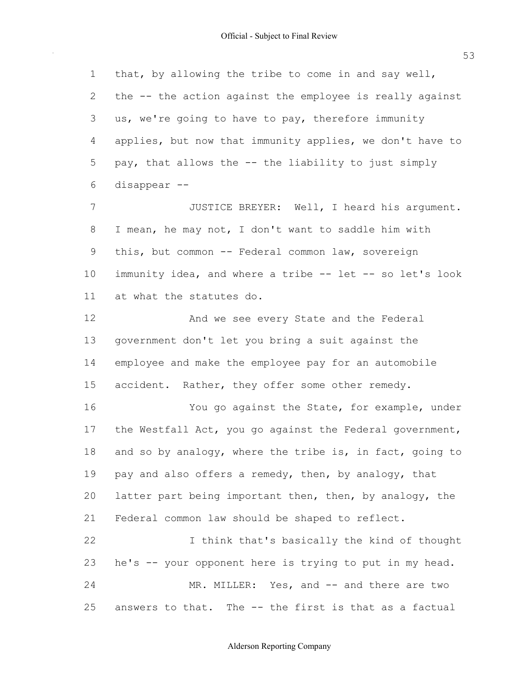53

 that, by allowing the tribe to come in and say well, the -- the action against the employee is really against us, we're going to have to pay, therefore immunity applies, but now that immunity applies, we don't have to pay, that allows the -- the liability to just simply I mean, he may not, I don't want to saddle him with this, but common -- Federal common law, sovereign immunity idea, and where a tribe -- let -- so let's look at what the statutes do. government don't let you bring a suit against the employee and make the employee pay for an automobile accident. Rather, they offer some other remedy. the Westfall Act, you go against the Federal government, and so by analogy, where the tribe is, in fact, going to pay and also offers a remedy, then, by analogy, that latter part being important then, then, by analogy, the Federal common law should be shaped to reflect. he's -- your opponent here is trying to put in my head. answers to that. The -- the first is that as a factual 1 2 3 4 5 6 7 8 9 10 11 12 13 14 15 16 17 18 19 20 21 22 23 24 25 disappear -- JUSTICE BREYER: Well, I heard his argument. And we see every State and the Federal You go against the State, for example, under I think that's basically the kind of thought MR. MILLER: Yes, and -- and there are two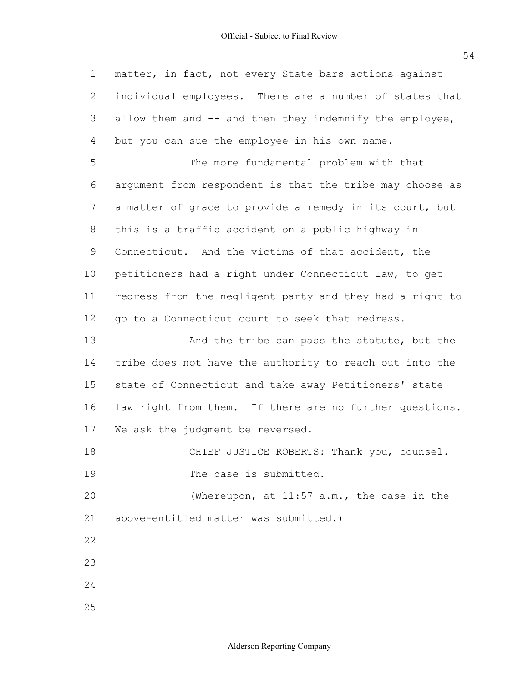matter, in fact, not every State bars actions against individual employees. There are a number of states that allow them and -- and then they indemnify the employee, but you can sue the employee in his own name. argument from respondent is that the tribe may choose as a matter of grace to provide a remedy in its court, but this is a traffic accident on a public highway in Connecticut. And the victims of that accident, the petitioners had a right under Connecticut law, to get redress from the negligent party and they had a right to go to a Connecticut court to seek that redress. tribe does not have the authority to reach out into the state of Connecticut and take away Petitioners' state law right from them. If there are no further questions. We ask the judgment be reversed. above-entitled matter was submitted.) 1 2 3 4 5 6 7 8 9 10 11 12 13 14 15 16 17 18 19  $20$ 21 22 23 24 25 The more fundamental problem with that And the tribe can pass the statute, but the CHIEF JUSTICE ROBERTS: Thank you, counsel. The case is submitted. (Whereupon, at 11:57 a.m., the case in the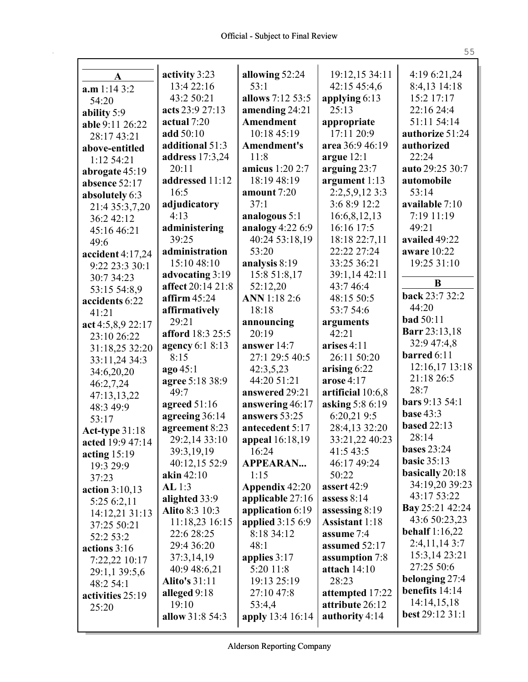| A                 | activity 3:23         | allowing 52:24        | 19:12,15 34:11        | 4:19 6:21,24                     |
|-------------------|-----------------------|-----------------------|-----------------------|----------------------------------|
| a.m 1:14 3:2      | 13:4 22:16            | 53:1                  | 42:15 45:4,6          | 8:4,13 14:18                     |
| 54:20             | 43:2 50:21            | allows 7:12 53:5      | applying 6:13         | 15:2 17:17                       |
| ability 5:9       | acts 23:9 27:13       | amending 24:21        | 25:13                 | 22:16 24:4                       |
| able 9:11 26:22   | actual 7:20           | <b>Amendment</b>      | appropriate           | 51:11 54:14                      |
| 28:17 43:21       | add 50:10             | 10:18 45:19           | 17:11 20:9            | authorize 51:24                  |
| above-entitled    | additional 51:3       | Amendment's           | area 36:9 46:19       | authorized                       |
| 1:12 54:21        | address 17:3,24       | 11:8                  | argue $12:1$          | 22:24                            |
| abrogate 45:19    | 20:11                 | amicus 1:20 2:7       | arguing 23:7          | auto 29:25 30:7                  |
| absence 52:17     | addressed 11:12       | 18:19 48:19           | argument 1:13         | automobile                       |
| absolutely 6:3    | 16:5                  | amount 7:20           | 2:2,5,9,12 3:3        | 53:14                            |
| 21:4 35:3,7,20    | adjudicatory          | 37:1                  | 3:6 8:9 12:2          | available 7:10                   |
| 36:2 42:12        | 4:13                  | analogous 5:1         | 16:6,8,12,13          | 7:19 11:19                       |
| 45:16 46:21       | administering         | analogy 4:22 6:9      | 16:16 17:5            | 49:21                            |
| 49:6              | 39:25                 | 40:24 53:18,19        | 18:18 22:7,11         | availed 49:22                    |
| accident 4:17,24  | administration        | 53:20                 | 22:22 27:24           | aware 10:22                      |
| 9:22 23:3 30:1    | 15:10 48:10           | analysis 8:19         | 33:25 36:21           | 19:25 31:10                      |
| 30:7 34:23        | advocating 3:19       | 15:8 51:8,17          | 39:1,14 42:11         | B                                |
| 53:15 54:8,9      | affect 20:14 21:8     | 52:12,20              | 43:7 46:4             | back 23:7 32:2                   |
| accidents 6:22    | affirm $45:24$        | <b>ANN</b> 1:18 2:6   | 48:15 50:5            | 44:20                            |
| 41:21             | affirmatively         | 18:18                 | 53:7 54:6             | <b>bad</b> 50:11                 |
| act 4:5,8,9 22:17 | 29:21                 | announcing            | arguments             |                                  |
| 23:10 26:22       | afford 18:3 25:5      | 20:19                 | 42:21                 | <b>Barr</b> 23:13,18             |
| 31:18,25 32:20    | agency 6:1 8:13       | answer 14:7           | arises $4:11$         | 32:9 47:4,8                      |
| 33:11,24 34:3     | 8:15                  | 27:1 29:5 40:5        | 26:11 50:20           | barred 6:11                      |
| 34:6,20,20        | ago 45:1              | 42:3,5,23             | arising $6:22$        | 12:16,17 13:18                   |
| 46:2,7,24         | agree 5:18 38:9       | 44:20 51:21           | arose $4:17$          | 21:18 26:5<br>28:7               |
| 47:13,13,22       | 49:7                  | answered 29:21        | artificial 10:6,8     |                                  |
| 48:3 49:9         | agreed $51:16$        | answering 46:17       | asking 5:8 6:19       | bars 9:13 54:1                   |
| 53:17             | agreeing 36:14        | answers 53:25         | 6:20,219:5            | <b>base 43:3</b>                 |
| Act-type 31:18    | agreement 8:23        | antecedent 5:17       | 28:4,13 32:20         | <b>based</b> 22:13               |
| acted 19:9 47:14  | 29:2,14 33:10         | appeal 16:18,19       | 33:21,22 40:23        | 28:14                            |
| acting $15:19$    | 39:3,19,19            | 16:24                 | 41:5 43:5             | <b>bases</b> 23:24               |
| 19:3 29:9         | 40:12,15 52:9         | <b>APPEARAN</b>       | 46:17 49:24           | basic $35:13$                    |
| 37:23             | akin $42:10$          | 1:15                  | 50:22                 | <b>basically</b> 20:18           |
| action $3:10,13$  | AL 1:3                | <b>Appendix 42:20</b> | assert 42:9           | 34:19,20 39:23                   |
| 5:25 6:2,11       | alighted 33:9         | applicable 27:16      | assess $8:14$         | 43:17 53:22                      |
| 14:12,21 31:13    | <b>Alito 8:3 10:3</b> | application 6:19      | assessing 8:19        | <b>Bay</b> 25:21 42:24           |
| 37:25 50:21       | 11:18,23 16:15        | applied $3:156:9$     | <b>Assistant</b> 1:18 | 43:6 50:23,23                    |
| 52:2 53:2         | 22:6 28:25            | 8:18 34:12            | assume 7:4            | behalf $1:16,22$                 |
| actions $3:16$    | 29:4 36:20            | 48:1                  | assumed 52:17         | 2:4,11,143:7                     |
| 7:22,22 10:17     | 37:3,14,19            | applies $3:17$        | assumption 7:8        | 15:3,14 23:21                    |
| 29:1,1 39:5,6     | 40:9 48:6,21          | 5:20 11:8             | attach $14:10$        | 27:25 50:6                       |
| 48:2 54:1         | <b>Alito's 31:11</b>  | 19:13 25:19           | 28:23                 | belonging 27:4<br>benefits 14:14 |
|                   |                       |                       |                       |                                  |
| activities 25:19  | alleged 9:18          | 27:10 47:8            | attempted 17:22       |                                  |
| 25:20             | 19:10                 | 53:4,4                | attribute 26:12       | 14:14,15,18                      |
|                   | allow 31:8 54:3       | apply 13:4 16:14      | authority 4:14        | best 29:12 31:1                  |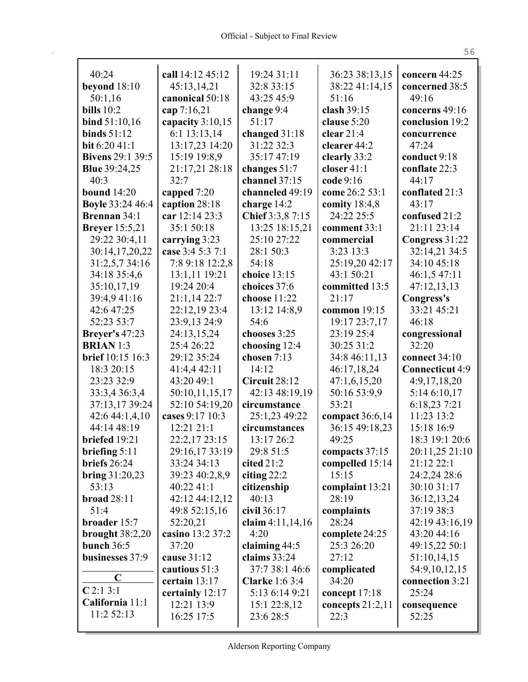| 40:24                   | call 14:12 45:12   | 19:24 31:11           | 36:23 38:13,15     | concern 44:25   |
|-------------------------|--------------------|-----------------------|--------------------|-----------------|
| beyond $18:10$          | 45:13,14,21        | 32:8 33:15            | 38:22 41:14,15     | concerned 38:5  |
| 50:1,16                 | canonical 50:18    | 43:25 45:9            | 51:16              | 49:16           |
| <b>bills</b> 10:2       | cap 7:16,21        | change 9:4            | clash 39:15        | concerns 49:16  |
| bind $51:10,16$         | capacity $3:10,15$ | 51:17                 | clause 5:20        | conclusion 19:2 |
| binds $51:12$           | 6:1 13:13,14       | changed 31:18         | clear $21:4$       | concurrence     |
| <b>bit</b> 6:20 41:1    | 13:17,23 14:20     | 31:22 32:3            | clearer 44:2       | 47:24           |
| <b>Bivens</b> 29:1 39:5 | 15:19 19:8,9       | 35:17 47:19           | clearly 33:2       | conduct 9:18    |
| <b>Blue</b> 39:24,25    | 21:17,21 28:18     | changes $51:7$        | closer $41:1$      | conflate 22:3   |
| 40:3                    | 32:7               | channel 37:15         | code 9:16          | 44:17           |
| <b>bound</b> 14:20      | capped 7:20        | channeled 49:19       | come 26:2 53:1     | conflated 21:3  |
| <b>Boyle 33:24 46:4</b> | caption 28:18      | charge 14:2           | comity 18:4,8      | 43:17           |
| <b>Brennan</b> 34:1     | car 12:14 23:3     | Chief 3:3,8 7:15      | 24:22 25:5         | confused 21:2   |
| <b>Breyer</b> 15:5,21   | 35:1 50:18         | 13:25 18:15,21        | comment 33:1       | 21:11 23:14     |
| 29:22 30:4,11           | carrying 3:23      | 25:10 27:22           | commercial         | Congress 31:22  |
| 30:14,17,20,22          | case 3:4 5:3 7:1   | 28:1 50:3             | $3:23$ 13:3        | 32:14,21 34:5   |
| 31:2,5,7 34:16          | 7:8 9:18 12:2,8    | 54:18                 | 25:19,20 42:17     | 34:10 45:18     |
| 34:18 35:4,6            | 13:1,11 19:21      | choice 13:15          | 43:1 50:21         | 46:1,5 47:11    |
| 35:10,17,19             | 19:24 20:4         | choices 37:6          | committed 13:5     | 47:12,13,13     |
| 39:4,941:16             | 21:1,14 22:7       | choose $11:22$        | 21:17              | Congress's      |
| 42:6 47:25              | 22:12,19 23:4      | 13:12 14:8,9          | common 19:15       | 33:21 45:21     |
| 52:23 53:7              | 23:9,13 24:9       | 54:6                  | 19:17 23:7,17      | 46:18           |
| <b>Breyer's 47:23</b>   | 24:13,15,24        | chooses 3:25          | 23:19 25:4         | congressional   |
| <b>BRIAN</b> 1:3        | 25:4 26:22         | choosing 12:4         | 30:25 31:2         | 32:20           |
| brief 10:15 16:3        | 29:12 35:24        | chosen 7:13           | 34:8 46:11,13      | connect 34:10   |
| 18:3 20:15              | 41:4,4 42:11       | 14:12                 | 46:17,18,24        | Connecticut 4:9 |
| 23:23 32:9              | 43:20 49:1         | Circuit 28:12         | 47:1,6,15,20       | 4:9,17,18,20    |
| 33:3,4 36:3,4           | 50:10,11,15,17     | 42:13 48:19,19        | 50:16 53:9,9       | 5:14 6:10,17    |
| 37:13,17 39:24          | 52:10 54:19,20     | circumstance          | 53:21              | 6:18,23 7:21    |
| 42:6 44:1,4,10          | cases 9:17 10:3    | 25:1,23 49:22         | compact 36:6,14    | 11:23 13:2      |
| 44:14 48:19             | 12:21 21:1         | circumstances         | 36:15 49:18,23     | 15:18 16:9      |
| briefed 19:21           | 22:2,17 23:15      | 13:17 26:2            | 49:25              | 18:3 19:1 20:6  |
| briefing $5:11$         | 29:16,17 33:19     | 29:8 51:5             | compacts 37:15     | 20:11,25 21:10  |
| briefs 26:24            | 33:24 34:13        | cited $21:2$          | compelled 15:14    | 21:12 22:1      |
| bring $31:20,23$        | 39:23 40:2,8,9     | citing $22:2$         | 15:15              | 24:2,24 28:6    |
| 53:13                   | 40:22 41:1         | citizenship           | complaint 13:21    | 30:10 31:17     |
| broad $28:11$           | 42:12 44:12,12     | 40:13                 | 28:19              | 36:12,13,24     |
| 51:4                    | 49:8 52:15,16      | civil 36:17           | complaints         | 37:19 38:3      |
| broader 15:7            | 52:20,21           | claim $4:11,14,16$    | 28:24              | 42:19 43:16,19  |
| brought $38:2,20$       | casino 13:2 37:2   | 4:20                  | complete 24:25     | 43:20 44:16     |
| bunch $36:5$            | 37:20              | claiming $44:5$       | 25:3 26:20         | 49:15,22 50:1   |
| businesses 37:9         | cause 31:12        | claims $33:24$        | 27:12              | 51:10,14,15     |
| $\mathbf C$             | cautious 51:3      | 37:7 38:1 46:6        | complicated        | 54:9,10,12,15   |
| $C$ 2:1 3:1             | certain 13:17      | <b>Clarke</b> 1:6 3:4 | 34:20              | connection 3:21 |
| California 11:1         | certainly 12:17    | 5:13 6:14 9:21        | concept $17:18$    | 25:24           |
| 11:2 52:13              | 12:21 13:9         | 15:1 22:8,12          | concepts $21:2,11$ | consequence     |
|                         | 16:25 17:5         | 23:6 28:5             | 22:3               | 52:25           |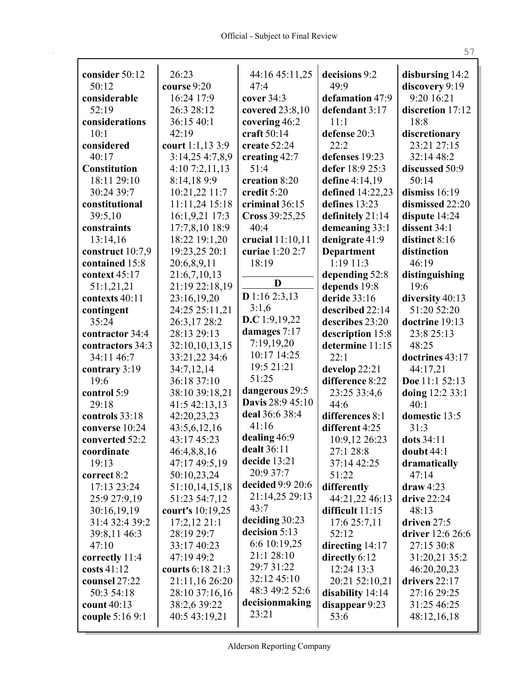$\mathbf{r}$ 

| consider 50:12      | 26:23            | 44:16 45:11,25   | decisions 9:2     | disbursing 14:2  |
|---------------------|------------------|------------------|-------------------|------------------|
| 50:12               | course 9:20      | 47:4             | 49:9              | discovery 9:19   |
| considerable        | 16:24 17:9       | cover 34:3       | defamation 47:9   | 9:20 16:21       |
| 52:19               | 26:3 28:12       | covered 23:8,10  | defendant 3:17    | discretion 17:12 |
| considerations      | 36:15 40:1       | covering 46:2    | 11:1              | 18:8             |
| 10:1                | 42:19            | craft 50:14      | defense 20:3      | discretionary    |
| considered          | court 1:1,13 3:9 | create 52:24     | 22:2              | 23:21 27:15      |
| 40:17               | 3:14,25 4:7,8,9  | creating 42:7    | defenses 19:23    | 32:14 48:2       |
| <b>Constitution</b> | 4:107:2,11,13    | 51:4             | defer 18:9 25:3   | discussed 50:9   |
| 18:11 29:10         | 8:14,189:9       | creation 8:20    | define 4:14,19    | 50:14            |
| 30:24 39:7          | 10:21,22 11:7    | credit 5:20      | defined 14:22,23  | dismiss 16:19    |
| constitutional      | 11:11,24 15:18   | criminal 36:15   | defines 13:23     | dismissed 22:20  |
| 39:5,10             | 16:1,9,21 17:3   | Cross 39:25,25   | definitely 21:14  | dispute 14:24    |
| constraints         | 17:7,8,10 18:9   | 40:4             | demeaning 33:1    | dissent 34:1     |
| 13:14,16            | 18:22 19:1,20    | crucial 11:10,11 | denigrate 41:9    | distinct 8:16    |
| construct 10:7,9    | 19:23,25 20:1    | curiae 1:20 2:7  | <b>Department</b> | distinction      |
| contained 15:8      | 20:6,8,9,11      | 18:19            | $1:19$ $11:3$     | 46:19            |
| context 45:17       | 21:6,7,10,13     |                  | depending 52:8    | distinguishing   |
| 51:1,21,21          | 21:19 22:18,19   | D                | depends 19:8      | 19:6             |
| contexts 40:11      | 23:16,19,20      | D 1:16 2:3,13    | deride 33:16      | diversity 40:13  |
| contingent          | 24:25 25:11,21   | 3:1,6            | described 22:14   | 51:20 52:20      |
| 35:24               | 26:3,17 28:2     | D.C 1:9,19,22    | describes 23:20   | doctrine 19:13   |
| contractor 34:4     | 28:13 29:13      | damages 7:17     | description 15:8  | 23:8 25:13       |
| contractors 34:3    | 32:10,10,13,15   | 7:19,19,20       | determine 11:15   | 48:25            |
| 34:11 46:7          | 33:21,22 34:6    | 10:17 14:25      | 22:1              | doctrines 43:17  |
| contrary 3:19       | 34:7,12,14       | 19:5 21:21       | develop 22:21     | 44:17,21         |
| 19:6                | 36:18 37:10      | 51:25            | difference 8:22   | Doe 11:1 52:13   |
| control 5:9         | 38:10 39:18,21   | dangerous 29:5   | 23:25 33:4,6      | doing 12:2 33:1  |
| 29:18               | 41:5 42:13,13    | Davis 28:9 45:10 | 44:6              | 40:1             |
| controls 33:18      | 42:20,23,23      | deal 36:6 38:4   | differences 8:1   | domestic 13:5    |
| converse 10:24      | 43:5,6,12,16     | 41:16            | different 4:25    | 31:3             |
| converted 52:2      | 43:17 45:23      | dealing 46:9     | 10:9,12 26:23     | dots 34:11       |
| coordinate          | 46:4,8,8,16      | dealt 36:11      | 27:1 28:8         | doubt 44:1       |
| 19:13               | 47:17 49:5,19    | decide 13:21     | 37:14 42:25       | dramatically     |
| correct 8:2         | 50:10,23,24      | 20:9 37:7        | 51:22             | 47:14            |
| 17:13 23:24         | 51:10,14,15,18   | decided 9:9 20:6 | differently       | $draw 4:23$      |
| 25:9 27:9,19        | 51:23 54:7,12    | 21:14,25 29:13   | 44:21,22 46:13    | drive 22:24      |
| 30:16,19,19         | court's 10:19,25 | 43:7             | difficult $11:15$ | 48:13            |
| 31:4 32:4 39:2      | 17:2,12 21:1     | deciding 30:23   | 17:625:7,11       | driven 27:5      |
| 39:8,11 46:3        | 28:19 29:7       | decision 5:13    | 52:12             | driver 12:6 26:6 |
| 47:10               | 33:17 40:23      | 6:6 10:19,25     | directing 14:17   | 27:15 30:8       |
| correctly 11:4      | 47:19 49:2       | 21:1 28:10       | directly 6:12     | 31:20,21 35:2    |
| $costs$ 41:12       | courts 6:18 21:3 | 29:731:22        | 12:24 13:3        | 46:20,20,23      |
| counsel 27:22       | 21:11,16 26:20   | 32:12 45:10      | 20:21 52:10,21    | drivers 22:17    |
| 50:3 54:18          | 28:10 37:16,16   | 48:3 49:2 52:6   | disability 14:14  | 27:16 29:25      |
| count 40:13         | 38:2,6 39:22     | decisionmaking   | disappear 9:23    | 31:25 46:25      |
| couple 5:16 9:1     | 40:5 43:19,21    | 23:21            | 53:6              | 48:12,16,18      |
|                     |                  |                  |                   |                  |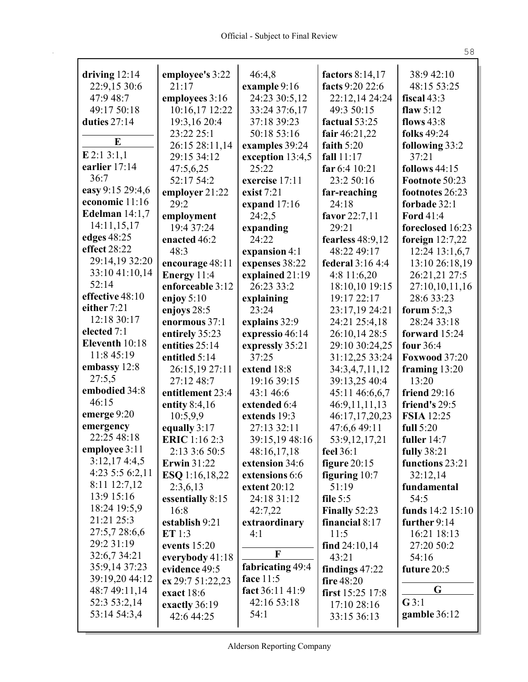| driving $12:14$  | employee's 3:22      | 46:4,8           | factors 8:14,17<br>facts 9:20 22:6 | 38:9 42:10           |
|------------------|----------------------|------------------|------------------------------------|----------------------|
| 22:9,15 30:6     | 21:17                | example 9:16     |                                    | 48:15 53:25          |
| 47:9 48:7        | employees 3:16       | 24:23 30:5,12    | 22:12,14 24:24                     | fiscal 43:3          |
| 49:17 50:18      | 10:16,17 12:22       | 33:24 37:6,17    | 49:3 50:15                         | flaw $5:12$          |
| duties 27:14     | 19:3,16 20:4         | 37:18 39:23      | factual 53:25                      | flows $43:8$         |
| E                | 23:22 25:1           | 50:18 53:16      | fair 46:21,22                      | folks 49:24          |
| $E$ 2:1 3:1,1    | 26:15 28:11,14       | examples 39:24   | faith $5:20$                       | following 33:2       |
| earlier 17:14    | 29:15 34:12          | exception 13:4,5 | fall $11:17$                       | 37:21                |
| 36:7             | 47:5,6,25            | 25:22            | far 6:4 10:21                      | <b>follows</b> 44:15 |
| easy 9:15 29:4,6 | 52:17 54:2           | exercise 17:11   | 23:2 50:16                         | Footnote 50:23       |
| economic 11:16   | employer 21:22       | exist $7:21$     | far-reaching                       | footnotes 26:23      |
| Edelman $14:1,7$ | 29:2                 | expand 17:16     | 24:18                              | forbade 32:1         |
| 14:11,15,17      | employment           | 24:2,5           | favor 22:7,11                      | <b>Ford 41:4</b>     |
| edges 48:25      | 19:4 37:24           | expanding        | 29:21                              | foreclosed 16:23     |
| effect 28:22     | enacted 46:2         | 24:22            | fearless $48:9,12$                 | foreign $12:7,22$    |
| 29:14,19 32:20   | 48:3                 | expansion 4:1    | 48:22 49:17                        | 12:24 13:1,6,7       |
| 33:10 41:10,14   | encourage 48:11      | expenses 38:22   | federal 3:16 4:4                   | 13:10 26:18,19       |
| 52:14            | Energy 11:4          | explained 21:19  | 4:8 11:6,20                        | 26:21,21 27:5        |
| effective 48:10  | enforceable 3:12     | 26:23 33:2       | 18:10,10 19:15                     | 27:10,10,11,16       |
|                  | enjoy $5:10$         | explaining       | 19:17 22:17                        | 28:6 33:23           |
| either 7:21      | enjoys 28:5          | 23:24            | 23:17,19 24:21                     | forum $5:2,3$        |
| 12:18 30:17      | enormous 37:1        | explains 32:9    | 24:21 25:4,18                      | 28:24 33:18          |
| elected 7:1      | entirely 35:23       | expressio 46:14  | 26:10,14 28:5                      | forward 15:24        |
| Eleventh 10:18   | entities 25:14       | expressly 35:21  | 29:10 30:24,25                     | four 36:4            |
| 11:8 45:19       | entitled 5:14        | 37:25            | 31:12,25 33:24                     | <b>Foxwood 37:20</b> |
| embassy 12:8     | 26:15,19 27:11       | extend 18:8      | 34:3,4,7,11,12                     | framing $13:20$      |
| 27:5,5           | 27:12 48:7           | 19:16 39:15      | 39:13,25 40:4                      | 13:20                |
| embodied 34:8    | entitlement 23:4     | 43:1 46:6        | 45:11 46:6,6,7                     | friend 29:16         |
| 46:15            | entity 8:4,16        | extended 6:4     | 46:9,11,11,13                      | friend's 29:5        |
| emerge 9:20      | 10:5,9,9             | extends 19:3     | 46:17,17,20,23                     | <b>FSIA</b> 12:25    |
| emergency        | equally 3:17         | 27:13 32:11      | 47:6,6 49:11                       | full 5:20            |
| 22:25 48:18      | <b>ERIC</b> 1:16 2:3 | 39:15,19 48:16   | 53:9,12,17,21                      | fuller 14:7          |
| employee 3:11    | 2:13 3:6 50:5        | 48:16,17,18      | feel 36:1                          | <b>fully</b> 38:21   |
| 3:12,174:3,5     | <b>Erwin</b> 31:22   | extension 34:6   | figure $20:15$                     | functions 23:21      |
| 4:23 5:5 6:2,11  | ESQ 1:16,18,22       | extensions 6:6   | figuring $10:7$                    | 32:12,14             |
| $8:11$ 12:7,12   | 2:3,6,13             | extent $20:12$   | 51:19                              | fundamental          |
| 13:9 15:16       | essentially 8:15     | 24:18 31:12      | file $5:5$                         | 54:5                 |
| 18:24 19:5,9     | 16:8                 | 42:7,22          | Finally $52:23$                    | funds 14:2 15:10     |
| 21:21 25:3       | establish 9:21       | extraordinary    | financial 8:17                     | further 9:14         |
| 27:5,7 28:6,6    | ET 1:3               | 4:1              | 11:5                               | 16:21 18:13          |
| 29:2 31:19       | events 15:20         |                  | find $24:10,14$                    | 27:20 50:2           |
| 32:6,7 34:21     | everybody 41:18      | F                | 43:21                              | 54:16                |
| 35:9,14 37:23    | evidence 49:5        | fabricating 49:4 | findings 47:22                     | future 20:5          |
| 39:19,20 44:12   | ex 29:7 51:22,23     | face 11:5        | fire 48:20                         |                      |
| 48:7 49:11,14    | exact 18:6           | fact 36:11 41:9  | first $15:25$ 17:8                 | G                    |
| 52:3 53:2,14     | exactly 36:19        | 42:16 53:18      | 17:10 28:16                        | G3:1                 |
| 53:14 54:3,4     | 42:6 44:25           | 54:1             | 33:15 36:13                        | gamble 36:12         |
|                  |                      |                  |                                    |                      |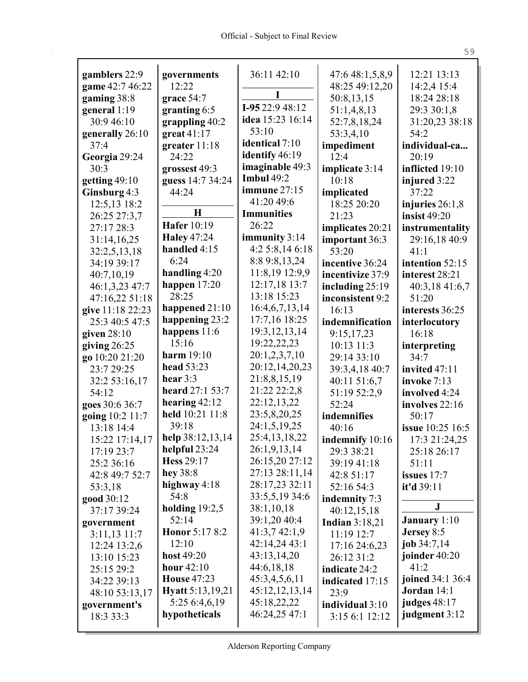$\mathbf{r}$ 

| gamblers 22:9<br>game 42:7 46:22 | governments<br>12:22     | 36:11 42:10       | 47:6 48:1,5,8,9<br>48:25 49:12,20 | 12:21 13:13<br>14:2,4 15:4 |
|----------------------------------|--------------------------|-------------------|-----------------------------------|----------------------------|
| gaming 38:8                      | grace 54:7               | I                 | 50:8,13,15                        | 18:24 28:18                |
| general $1:19$                   | granting $6:5$           | I-95 22:9 48:12   | 51:1,4,8,13                       | 29:3 30:1,8                |
| 30:9 46:10                       | grappling $40:2$         | idea 15:23 16:14  | 52:7,8,18,24                      | 31:20,23 38:18             |
| generally 26:10                  | great $41:17$            | 53:10             | 53:3,4,10                         | 54:2                       |
| 37:4                             | greater 11:18            | identical 7:10    |                                   | individual-ca              |
| Georgia 29:24                    | 24:22                    | identify 46:19    | impediment<br>12:4                | 20:19                      |
| 30:3                             | grossest 49:3            | imaginable 49:3   | implicate 3:14                    | inflicted 19:10            |
| getting $49:10$                  | guess 14:7 34:24         | <b>Imbul 49:2</b> | 10:18                             | injured 3:22               |
| Ginsburg 4:3                     | 44:24                    | immune 27:15      | implicated                        | 37:22                      |
| 12:5,13 18:2                     |                          | 41:20 49:6        | 18:25 20:20                       | injuries $26:1,8$          |
| 26:25 27:3,7                     | $\bf H$                  | <b>Immunities</b> | 21:23                             | insist $49:20$             |
| 27:17 28:3                       | <b>Hafer</b> 10:19       | 26:22             |                                   |                            |
| 31:14,16,25                      | <b>Haley 47:24</b>       | immunity 3:14     | implicates 20:21                  | instrumentality            |
|                                  | handled 4:15             | 4:25:8,146:18     | important 36:3                    | 29:16,18 40:9              |
| 32:2,5,13,18                     | 6:24                     | 8:8 9:8, 13, 24   | 53:20                             | 41:1                       |
| 34:19 39:17                      | handling 4:20            | 11:8,19 12:9,9    | incentive 36:24                   | intention 52:15            |
| 40:7,10,19                       | happen $17:20$           | 12:17,18 13:7     | incentivize 37:9                  | interest 28:21             |
| 46:1,3,23 47:7                   | 28:25                    | 13:18 15:23       | including 25:19                   | 40:3,18 41:6,7             |
| 47:16,22 51:18                   | happened 21:10           | 16:4,6,7,13,14    | inconsistent 9:2                  | 51:20                      |
| give 11:18 22:23                 | happening 23:2           | 17:7,16 18:25     | 16:13                             | interests 36:25            |
| 25:3 40:5 47:5                   | happens $11:6$           | 19:3, 12, 13, 14  | indemnification                   | interlocutory              |
| given $28:10$                    | 15:16                    | 19:22,22,23       | 9:15,17,23                        | 16:18                      |
| giving $26:25$                   | harm $19:10$             |                   | 10:13 11:3                        | interpreting               |
| go 10:20 21:20                   |                          | 20:1,2,3,7,10     | 29:14 33:10                       | 34:7                       |
| 23:7 29:25                       | head 53:23<br>hear $3:3$ | 20:12,14,20,23    | 39:3,4,18 40:7                    | invited 47:11              |
| 32:2 53:16,17                    |                          | 21:8,8,15,19      | 40:11 51:6,7                      | invoke 7:13                |
| 54:12                            | heard 27:1 53:7          | 21:22 22:2,8      | 51:19 52:2,9                      | involved 4:24              |
| goes 30:6 36:7                   | hearing $42:12$          | 22:12,13,22       | 52:24                             | involves 22:16             |
| going 10:2 11:7                  | held 10:21 11:8          | 23:5,8,20,25      | indemnifies                       | 50:17                      |
| 13:18 14:4                       | 39:18                    | 24:1,5,19,25      | 40:16                             | issue 10:25 16:5           |
| 15:22 17:14,17                   | help 38:12,13,14         | 25:4,13,18,22     | indemnify 10:16                   | 17:3 21:24,25              |
| 17:19 23:7                       | helpful 23:24            | 26:1,9,13,14      | 29:3 38:21                        | 25:18 26:17                |
| 25:2 36:16                       | <b>Hess</b> 29:17        | 26:15,20 27:12    | 39:19 41:18                       | 51:11                      |
| 42:8 49:7 52:7                   | hey $38:8$               | 27:13 28:11,14    | 42:8 51:17                        | issues $17:7$              |
| 53:3,18                          | highway $4:18$           | 28:17,23 32:11    | 52:16 54:3                        | it'd 39:11                 |
| good 30:12                       | 54:8                     | 33:5,5,19 34:6    | indemnity 7:3                     |                            |
| 37:17 39:24                      | holding $19:2,5$         | 38:1,10,18        | 40:12,15,18                       | $\mathbf J$                |
| government                       | 52:14                    | 39:1,20 40:4      | <b>Indian</b> 3:18,21             | January 1:10               |
| $3:11,13$ $11:7$                 | Honor 5:17 8:2           | 41:3,742:1,9      | 11:19 12:7                        | Jersey 8:5                 |
| 12:24 13:2,6                     | 12:10                    | 42:14,24 43:1     | 17:16 24:6,23                     | job $34:7,14$              |
| 13:10 15:23                      | host $49:20$             | 43:13,14,20       | 26:12 31:2                        | joinder 40:20              |
| 25:15 29:2                       | hour $42:10$             | 44:6,18,18        | indicate 24:2                     | 41:2                       |
| 34:22 39:13                      | <b>House 47:23</b>       | 45:3,4,5,6,11     | indicated 17:15                   | joined 34:1 36:4           |
| 48:10 53:13,17                   | Hyatt 5:13,19,21         | 45:12,12,13,14    | 23:9                              | Jordan 14:1                |
| government's                     | 5:25 6:4,6,19            | 45:18,22,22       | individual 3:10                   | judges 48:17               |
| 18:3 33:3                        | hypotheticals            | 46:24,25 47:1     | 3:15 6:1 12:12                    | judgment 3:12              |
|                                  |                          |                   |                                   |                            |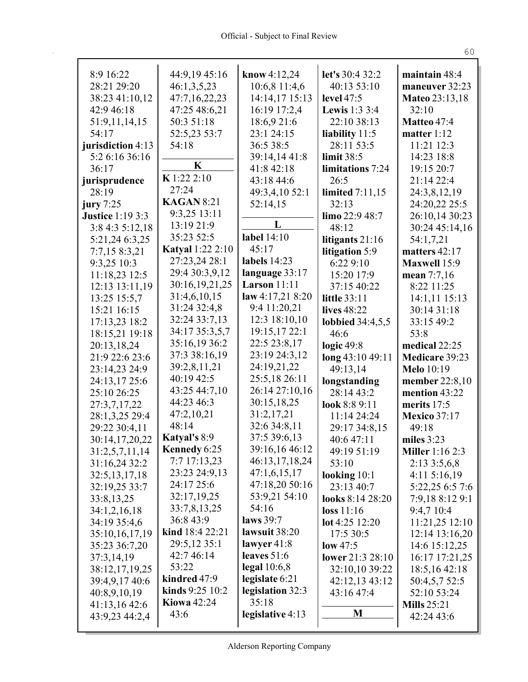| 8:9 16:22                    | 44:9,19 45:16                       | know $4:12,24$              | let's 30:4 32:2                    | maintain 48:4                   |
|------------------------------|-------------------------------------|-----------------------------|------------------------------------|---------------------------------|
| 28:21 29:20                  | 46:1,3,5,23                         | 10:6,8 11:4,6               | 40:13 53:10                        | maneuver 32:23                  |
| 38:23 41:10,12<br>42:9 46:18 | 47:7,16,22,23                       | 14:14,17 15:13              | level 47:5<br><b>Lewis</b> 1:3 3:4 | <b>Mateo 23:13,18</b>           |
|                              | 47:25 48:6,21<br>50:3 51:18         | 16:19 17:2,4<br>18:6,9 21:6 | 22:10 38:13                        | 32:10<br>Matteo 47:4            |
| 51:9,11,14,15<br>54:17       |                                     | 23:1 24:15                  |                                    |                                 |
| jurisdiction 4:13            | 52:5,23 53:7<br>54:18               | 36:5 38:5                   | liability 11:5<br>28:11 53:5       | matter $1:12$<br>11:21 12:3     |
|                              |                                     | 39:14,14 41:8               | limit $38:5$                       |                                 |
| 5:2 6:16 36:16<br>36:17      | K                                   | 41:8 42:18                  | limitations 7:24                   | 14:23 18:8<br>19:15 20:7        |
|                              | K 1:22 2:10                         | 43:18 44:6                  | 26:5                               | 21:14 22:4                      |
| jurisprudence<br>28:19       | 27:24                               |                             | <b>limited</b> 7:11,15             | 24:3,8,12,19                    |
| jury $7:25$                  | <b>KAGAN 8:21</b>                   | 49:3,4,10 52:1              | 32:13                              |                                 |
| <b>Justice 1:19 3:3</b>      | 9:3,25 13:11                        | 52:14,15                    | limo 22:9 48:7                     | 24:20,22 25:5<br>26:10,14 30:23 |
|                              | 13:19 21:9                          | L                           |                                    |                                 |
| 3:8 4:3 5:12,18              | 35:23 52:5                          | label 14:10                 | 48:12                              | 30:24 45:14,16                  |
| 5:21,24 6:3,25               | <b>Katyal</b> 1:22 2:10             | 45:17                       | litigants $21:16$                  | 54:1,7,21                       |
| 7:7,15 8:3,21                | 27:23,24 28:1                       | labels 14:23                | litigation 5:9                     | matters 42:17                   |
| 9:3,25 10:3                  | 29:4 30:3,9,12                      | language 33:17              | 6:22 9:10                          | <b>Maxwell 15:9</b>             |
| 11:18,23 12:5                | 30:16,19,21,25                      | <b>Larson</b> 11:11         | 15:20 17:9                         | mean 7:7,16                     |
| 12:13 13:11,19               | 31:4,6,10,15                        | law 4:17,21 8:20            | 37:15 40:22                        | 8:22 11:25                      |
| 13:25 15:5,7                 | 31:24 32:4,8                        | 9:4 11:20,21                | <b>little 33:11</b>                | 14:1,11 15:13                   |
| 15:21 16:15                  | 32:24 33:7,13                       | 12:3 18:10,10               | lives 48:22                        | 30:14 31:18                     |
| 17:13,23 18:2                | 34:17 35:3,5,7                      | 19:15,17 22:1               | <b>lobbied</b> 34:4,5,5            | 33:15 49:2                      |
| 18:15,21 19:18               | 35:16,19 36:2                       | 22:5 23:8,17                | 46:6                               | 53:8                            |
| 20:13,18,24                  | 37:3 38:16,19                       | 23:19 24:3,12               | logic $49:8$                       | medical 22:25                   |
| 21:9 22:6 23:6               | 39:2,8,11,21                        | 24:19,21,22                 | long 43:10 49:11                   | Medicare 39:23                  |
| 23:14,23 24:9                | 40:19 42:5                          | 25:5,18 26:11               | 49:13,14                           | <b>Melo</b> 10:19               |
| 24:13,17 25:6                |                                     | 26:14 27:10,16              | longstanding                       | <b>member</b> 22:8,10           |
| 25:10 26:25                  | 43:25 44:7,10<br>44:23 46:3         |                             | 28:14 43:2                         | mention 43:22                   |
| 27:3,7,17,22                 |                                     | 30:15,18,25                 | look 8:8 9:11                      | merits 17:5                     |
| 28:1,3,25 29:4               | 47:2,10,21<br>48:14                 | 31:2,17,21<br>32:6 34:8,11  | 11:14 24:24                        | <b>Mexico 37:17</b>             |
| 29:22 30:4,11                |                                     | 37:5 39:6,13                | 29:17 34:8,15                      | 49:18                           |
| 30:14,17,20,22               | <b>Katyal's 8:9</b><br>Kennedy 6:25 | 39:16,16 46:12              | 40:6 47:11                         | miles $3:23$                    |
| 31:2,5,7,11,14               |                                     |                             | 49:19 51:19                        | <b>Miller</b> 1:16 2:3          |
| 31:16,24 32:2                | 7:7 17:13,23                        | 46:13,17,18,24              | 53:10                              | 2:133:5,6,8                     |
| 32:5, 13, 17, 18             | 23:23 24:9,13                       | 47:1,6,15,17                | looking $10:1$                     | 4:115:16,19                     |
| 32:19,25 33:7                | 24:17 25:6                          | 47:18,20 50:16              | 23:13 40:7                         | 5:22,25 6:5 7:6                 |
| 33:8,13,25                   | 32:17,19,25                         | 53:9,21 54:10               | looks 8:14 28:20                   | 7:9,18 8:12 9:1                 |
| 34:1,2,16,18                 | 33:7,8,13,25                        | 54:16                       | loss 11:16                         | 9:4,7 10:4                      |
| 34:19 35:4,6                 | 36:8 43:9                           | laws 39:7                   | lot 4:25 12:20                     | 11:21,25 12:10                  |
| 35:10,16,17,19               | kind 18:4 22:21                     | lawsuit 38:20               | 17:5 30:5                          | 12:14 13:16,20                  |
| 35:23 36:7,20                | 29:5,12 35:1                        | lawyer $41:8$               | low 47:5                           | 14:6 15:12,25                   |
| 37:3,14,19                   | 42:7 46:14                          | leaves $51:6$               | lower 21:3 28:10                   | 16:17 17:21,25                  |
| 38:12,17,19,25               | 53:22                               | legal $10:6,8$              | 32:10,10 39:22                     | 18:5, 16 42:18                  |
| 39:4,9,17 40:6               | kindred 47:9                        | legislate 6:21              | 42:12,13 43:12                     | 50:4,5,7 52:5                   |
| 40:8,9,10,19                 | kinds 9:25 10:2                     | legislation 32:3            | 43:16 47:4                         | 52:10 53:24                     |
| 41:13,16 42:6                | <b>Kiowa</b> 42:24                  | 35:18                       |                                    | <b>Mills</b> 25:21              |
| 43:9,23 44:2,4               | 43:6                                | legislative 4:13            | M                                  | 42:24 43:6                      |
|                              |                                     |                             |                                    |                                 |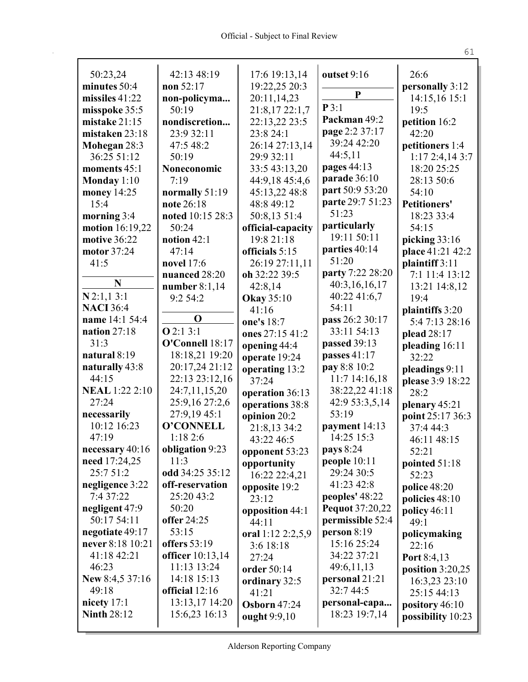|                             | 42:13 48:19             |                                |                        | 26:6                |
|-----------------------------|-------------------------|--------------------------------|------------------------|---------------------|
| 50:23,24<br>minutes 50:4    | non 52:17               | 17:6 19:13,14<br>19:22,25 20:3 | outset 9:16            | personally 3:12     |
| missiles 41:22              |                         | 20:11,14,23                    | ${\bf P}$              | 14:15,16 15:1       |
| misspoke 35:5               | non-policyma<br>50:19   | 21:8,17 22:1,7                 | P3:1                   | 19:5                |
| mistake 21:15               | nondiscretion           | 22:13,22 23:5                  | Packman 49:2           | petition 16:2       |
| mistaken 23:18              | 23:9 32:11              | 23:8 24:1                      | page 2:2 37:17         | 42:20               |
|                             | 47:5 48:2               | 26:14 27:13,14                 | 39:24 42:20            | petitioners 1:4     |
| Mohegan 28:3<br>36:25 51:12 | 50:19                   | 29:9 32:11                     | 44:5,11                | 1:172:4,143:7       |
| moments 45:1                | Noneconomic             | 33:5 43:13,20                  | pages 44:13            | 18:20 25:25         |
| Monday $1:10$               | 7:19                    | 44:9,18 45:4,6                 | parade 36:10           | 28:13 50:6          |
| money 14:25                 | normally 51:19          | 45:13,22 48:8                  | part 50:9 53:20        | 54:10               |
| 15:4                        | note 26:18              | 48:8 49:12                     | parte 29:7 51:23       | <b>Petitioners'</b> |
| morning 3:4                 | noted 10:15 28:3        | 50:8,13 51:4                   | 51:23                  | 18:23 33:4          |
| motion 16:19,22             | 50:24                   | official-capacity              | particularly           | 54:15               |
| motive 36:22                | notion 42:1             | 19:8 21:18                     | 19:11 50:11            | picking $33:16$     |
| motor 37:24                 | 47:14                   | officials 5:15                 | parties 40:14          | place 41:21 42:2    |
| 41:5                        | <b>novel</b> 17:6       | 26:19 27:11,11                 | 51:20                  | plaintiff 3:11      |
|                             | nuanced 28:20           | oh 32:22 39:5                  | party 7:22 28:20       | 7:1 11:4 13:12      |
| N                           | number $8:1,14$         | 42:8,14                        | 40:3,16,16,17          | 13:21 14:8,12       |
| $N$ 2:1,1 3:1               | 9:254:2                 | <b>Okay</b> 35:10              | 40:22 41:6,7           | 19:4                |
| <b>NACI</b> 36:4            |                         | 41:16                          | 54:11                  | plaintiffs 3:20     |
| name 14:1 54:4              | $\mathbf 0$             | one's 18:7                     | pass 26:2 30:17        | 5:47:1328:16        |
| nation $27:18$              | Q2:13:1                 | ones 27:15 41:2                | 33:11 54:13            | plead 28:17         |
| 31:3                        | O'Connell 18:17         | opening 44:4                   | passed 39:13           | pleading 16:11      |
| natural 8:19                | 18:18,21 19:20          | operate 19:24                  | passes 41:17           | 32:22               |
| naturally 43:8              | 20:17,24 21:12          | operating 13:2                 | pay 8:8 10:2           | pleadings 9:11      |
| 44:15                       | 22:13 23:12,16          | 37:24                          | 11:7 14:16,18          | please 3:9 18:22    |
| <b>NEAL</b> 1:22 2:10       | 24:7,11,15,20           | operation 36:13                | 38:22,22 41:18         | 28:2                |
| 27:24                       | 25:9,16 27:2,6          | operations 38:8                | 42:9 53:3,5,14         | plenary 45:21       |
| necessarily                 | 27:9,19 45:1            | opinion 20:2                   | 53:19                  | point 25:17 36:3    |
| 10:12 16:23                 | O'CONNELL               | 21:8,13 34:2                   | payment 14:13          | 37:4 44:3           |
| 47:19                       | 1:182:6                 | 43:22 46:5                     | 14:25 15:3             | 46:11 48:15         |
| necessary 40:16             | <b>obligation</b> 9:23  | opponent 53:23                 | pays $8:24$            | 52:21               |
| need 17:24,25               | 11:3                    | opportunity                    | people $10:11$         | pointed $51:18$     |
| 25:7 51:2                   | odd 34:25 35:12         | 16:22 22:4,21                  | 29:24 30:5             | 52:23               |
| negligence 3:22             | off-reservation         | opposite 19:2                  | 41:23 42:8             | police 48:20        |
| 7:4 37:22                   | 25:20 43:2              | 23:12                          | peoples' 48:22         | policies $48:10$    |
| negligent 47:9              | 50:20                   | opposition 44:1                | <b>Pequot</b> 37:20,22 | policy $46:11$      |
| 50:17 54:11                 | offer 24:25             | 44:11                          | permissible 52:4       | 49:1                |
| negotiate 49:17             | 53:15                   | oral 1:12 2:2,5,9              | person $8:19$          | policymaking        |
| never 8:18 10:21            | offers 53:19            | 3:6 18:18                      | 15:16 25:24            | 22:16               |
| 41:18 42:21                 | <b>officer</b> 10:13,14 | 27:24                          | 34:22 37:21            | Port 8:4,13         |
| 46:23                       | 11:13 13:24             | order 50:14                    | 49:6,11,13             | position $3:20,25$  |
| New 8:4,5 37:16             | 14:18 15:13             | ordinary 32:5                  | personal 21:21         | 16:3,23 23:10       |
| 49:18                       | official $12:16$        | 41:21                          | 32:7 44:5              | 25:15 44:13         |
| nicety $17:1$               | 13:13,17 14:20          | <b>Osborn 47:24</b>            | personal-capa          | pository 46:10      |
| <b>Ninth 28:12</b>          | 15:6,23 16:13           | ought 9:9,10                   | 18:23 19:7,14          | possibility 10:23   |
|                             |                         |                                |                        |                     |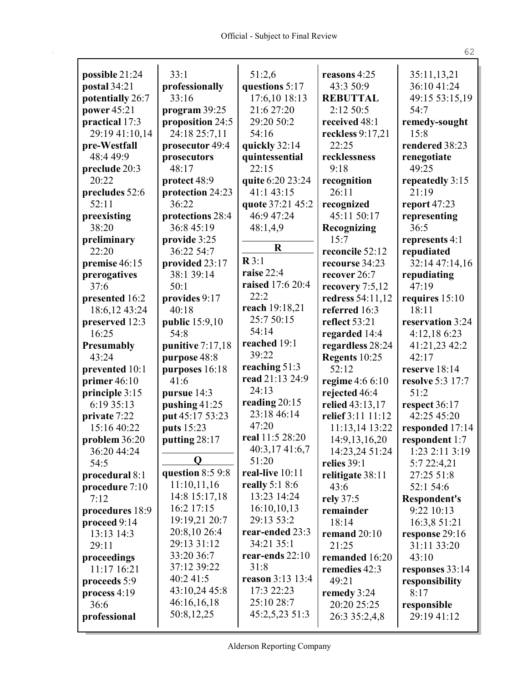| possible 21:24                   | 33:1             | 51:2,6                           | reasons 4:25                  | 35:11,13,21                   |
|----------------------------------|------------------|----------------------------------|-------------------------------|-------------------------------|
| postal 34:21                     | professionally   | questions 5:17                   | 43:3 50:9                     | 36:10 41:24                   |
| potentially 26:7                 | 33:16            | 17:6,10 18:13                    | <b>REBUTTAL</b>               | 49:15 53:15,19                |
| power 45:21                      | program 39:25    | 21:6 27:20                       | 2:12 50:5                     | 54:7                          |
| practical 17:3                   | proposition 24:5 | 29:20 50:2                       | received 48:1                 | remedy-sought                 |
| 29:19 41:10,14                   | 24:18 25:7,11    | 54:16                            | reckless 9:17,21              | 15:8                          |
| pre-Westfall                     | prosecutor 49:4  | quickly 32:14                    | 22:25                         | rendered 38:23                |
| 48:4 49:9                        | prosecutors      | quintessential                   | recklessness                  | renegotiate                   |
| preclude 20:3                    | 48:17            | 22:15                            | 9:18                          | 49:25                         |
| 20:22                            | protect 48:9     | quite 6:20 23:24                 | recognition                   | repeatedly 3:15               |
| precludes 52:6                   | protection 24:23 | 41:1 43:15                       | 26:11                         | 21:19                         |
| 52:11                            | 36:22            | quote 37:21 45:2                 | recognized                    | report $47:23$                |
| preexisting                      | protections 28:4 | 46:9 47:24                       | 45:11 50:17                   | representing                  |
| 38:20                            | 36:8 45:19       | 48:1,4,9                         | Recognizing                   | 36:5                          |
| preliminary                      | provide 3:25     |                                  | 15:7                          | represents 4:1                |
| 22:20                            | 36:22 54:7       | $\mathbf R$                      | reconcile 52:12               | repudiated                    |
| premise 46:15                    | provided 23:17   | $\mathbb{R}3:1$                  | recourse 34:23                | 32:14 47:14,16                |
| prerogatives                     | 38:1 39:14       | raise 22:4                       | recover 26:7                  | repudiating                   |
| 37:6                             | 50:1             | raised 17:6 20:4                 | recovery 7:5,12               | 47:19                         |
| presented 16:2                   | provides 9:17    | 22:2                             | redress 54:11,12              | requires 15:10                |
| 18:6,12 43:24                    | 40:18            | reach 19:18,21                   | referred 16:3                 | 18:11                         |
| preserved 12:3                   | public 15:9,10   | 25:7 50:15                       | reflect 53:21                 | reservation 3:24              |
| 16:25                            | 54:8             | 54:14                            | regarded 14:4                 | 4:12,18 6:23                  |
| Presumably                       | punitive 7:17,18 | reached 19:1<br>39:22            | regardless 28:24              | 41:21,23 42:2                 |
| 43:24                            | purpose 48:8     |                                  | Regents 10:25                 | 42:17                         |
| prevented 10:1                   | purposes 16:18   | reaching 51:3<br>read 21:13 24:9 | 52:12                         | reserve 18:14                 |
| primer $46:10$                   | 41:6             | 24:13                            | regime 4:6 6:10               | resolve 5:3 17:7              |
| principle 3:15                   | pursue 14:3      | reading 20:15                    | rejected 46:4                 | 51:2                          |
| 6:19 35:13                       | pushing 41:25    | 23:18 46:14                      | relied 43:13,17               | respect 36:17                 |
| private 7:22                     | put 45:17 53:23  | 47:20                            | relief 3:11 11:12             | 42:25 45:20                   |
| 15:16 40:22                      | puts 15:23       | real 11:5 28:20                  | 11:13,14 13:22                | responded 17:14               |
| problem 36:20                    | putting 28:17    | 40:3,17 41:6,7                   | 14:9, 13, 16, 20              | respondent 1:7                |
| 36:20 44:24<br>54:5              | Q                | 51:20                            | 14:23,24 51:24<br>relies 39:1 | 1:23 2:11 3:19<br>5:7 22:4,21 |
|                                  | question 8:5 9:8 | real-live 10:11                  |                               | 27:25 51:8                    |
| procedural 8:1<br>procedure 7:10 | 11:10,11,16      | really $5:18:6$                  | relitigate 38:11<br>43:6      | 52:1 54:6                     |
| 7:12                             | 14:8 15:17,18    | 13:23 14:24                      | rely 37:5                     | <b>Respondent's</b>           |
| procedures 18:9                  | 16:2 17:15       | 16:10,10,13                      | remainder                     | 9:22 10:13                    |
| proceed 9:14                     | 19:19,21 20:7    | 29:13 53:2                       | 18:14                         | 16:3,8 51:21                  |
| 13:13 14:3                       | 20:8,10 26:4     | rear-ended 23:3                  | remand $20:10$                | response 29:16                |
| 29:11                            | 29:13 31:12      | 34:21 35:1                       | 21:25                         | 31:11 33:20                   |
| proceedings                      | 33:20 36:7       | rear-ends $22:10$                | remanded 16:20                | 43:10                         |
| 11:17 16:21                      | 37:12 39:22      | 31:8                             | remedies 42:3                 | responses 33:14               |
| proceeds 5:9                     | 40:2 41:5        | reason 3:13 13:4                 | 49:21                         | responsibility                |
| process 4:19                     | 43:10,24 45:8    | 17:3 22:23                       | remedy 3:24                   | 8:17                          |
| 36:6                             | 46:16,16,18      | 25:10 28:7                       | 20:20 25:25                   | responsible                   |
| professional                     | 50:8,12,25       | 45:2,5,23 51:3                   | 26:3 35:2,4,8                 | 29:19 41:12                   |
|                                  |                  |                                  |                               |                               |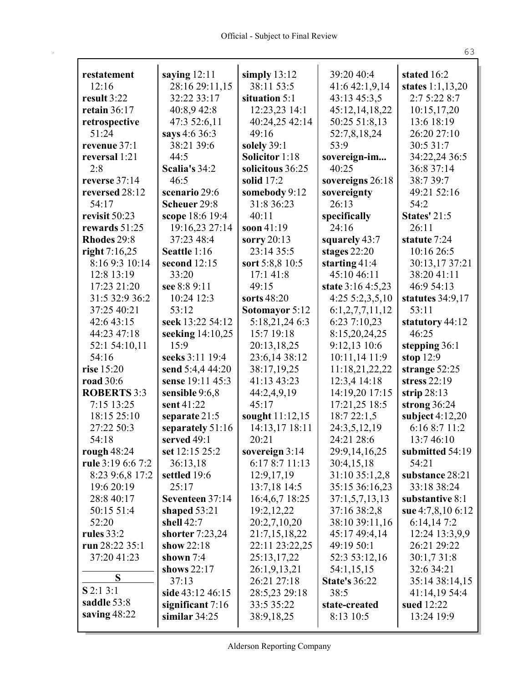| restatement                        | saying $12:11$        | simply $13:12$                     | 39:20 40:4                       | stated 16:2                          |
|------------------------------------|-----------------------|------------------------------------|----------------------------------|--------------------------------------|
| 12:16                              | 28:16 29:11,15        | 38:11 53:5                         | 41:6 42:1,9,14                   | states 1:1,13,20                     |
| result 3:22                        | 32:22 33:17           | situation 5:1                      | 43:13 45:3,5                     | 2:7 5:22 8:7                         |
| retain $36:17$                     | 40:8,9 42:8           | 12:23,23 14:1                      | 45:12,14,18,22                   | 10:15,17,20                          |
| retrospective                      | 47:3 52:6,11          | 40:24,25 42:14                     | 50:25 51:8,13                    | 13:6 18:19                           |
| 51:24                              | says 4:6 36:3         | 49:16                              | 52:7,8,18,24                     | 26:20 27:10                          |
| revenue 37:1                       | 38:21 39:6            | solely 39:1                        | 53:9                             | 30:5 31:7                            |
| reversal 1:21                      | 44:5                  | <b>Solicitor</b> 1:18              | sovereign-im                     | 34:22,24 36:5                        |
| 2:8                                | Scalia's 34:2         | solicitous 36:25                   | 40:25                            | 36:8 37:14                           |
| reverse 37:14                      | 46:5                  | solid $17:2$                       | sovereigns 26:18                 | 38:7 39:7                            |
| reversed 28:12                     | scenario 29:6         | somebody 9:12                      | sovereignty                      | 49:21 52:16                          |
| 54:17                              | Scheuer 29:8          | 31:8 36:23                         | 26:13                            | 54:2                                 |
| revisit 50:23                      | scope 18:6 19:4       | 40:11                              | specifically                     | <b>States' 21:5</b>                  |
| rewards $51:25$                    | 19:16,23 27:14        | soon $41:19$                       | 24:16                            | 26:11                                |
| Rhodes 29:8                        | 37:23 48:4            | sorry $20:13$                      | squarely 43:7                    | statute 7:24                         |
| right $7:16,25$                    | Seattle 1:16          | 23:14 35:5                         | stages 22:20                     | 10:16 26:5                           |
| 8:16 9:3 10:14                     | second 12:15          | sort 5:8,8 10:5                    | starting $41:4$                  | 30:13,17 37:21                       |
| 12:8 13:19                         | 33:20                 | 17:1 41:8                          | 45:10 46:11                      | 38:20 41:11                          |
| 17:23 21:20                        | see 8:8 9:11          | 49:15                              | state 3:16 4:5,23                | 46:9 54:13                           |
| 31:5 32:9 36:2                     | 10:24 12:3            | sorts 48:20                        | 4:255:2,3,5,10                   | statutes 34:9,17                     |
| 37:25 40:21                        | 53:12                 | Sotomayor 5:12                     | 6:1,2,7,7,11,12                  | 53:11                                |
| 42:6 43:15                         | seek 13:22 54:12      | 5:18,21,24 6:3                     | 6:23 7:10,23                     | statutory 44:12                      |
| 44:23 47:18                        | seeking 14:10,25      | 15:7 19:18                         | 8:15,20,24,25                    | 46:25                                |
| 52:1 54:10,11                      | 15:9                  | 20:13,18,25                        | 9:12,13 10:6                     | stepping 36:1                        |
| 54:16                              | seeks 3:11 19:4       | 23:6,14 38:12                      | 10:11,14 11:9                    | stop $12:9$                          |
| rise 15:20                         | send 5:4,4 44:20      | 38:17,19,25                        | 11:18,21,22,22                   | strange 52:25                        |
| <b>road</b> 30:6                   | sense 19:11 45:3      | 41:13 43:23                        | 12:3,4 14:18                     | stress $22:19$                       |
| <b>ROBERTS 3:3</b>                 | sensible 9:6,8        | 44:2,4,9,19                        | 14:19,20 17:15                   | strip $28:13$                        |
| 7:15 13:25                         | sent 41:22            | 45:17                              | 17:21,25 18:5                    | strong $36:24$                       |
| 18:15 25:10                        | separate 21:5         | sought $11:12,15$                  | 18:722:1,5                       | subject $4:12,20$                    |
| 27:22 50:3                         | separately 51:16      | 14:13,17 18:11                     | 24:3,5,12,19                     | 6:16 8:7 11:2                        |
| 54:18                              | served 49:1           | 20:21                              | 24:21 28:6                       | 13:7 46:10                           |
|                                    | set $12:15\,25:2$     |                                    |                                  | submitted 54:19                      |
| rough $48:24$<br>rule 3:19 6:6 7:2 | 36:13,18              | sovereign $3:14$<br>6:17 8:7 11:13 | 29:9, 14, 16, 25<br>30:4,15,18   | 54:21                                |
|                                    |                       |                                    |                                  |                                      |
| 8:23 9:6,8 17:2<br>19:6 20:19      | settled 19:6<br>25:17 | 12:9,17,19<br>13:7,18 14:5         | 31:10 35:1,2,8<br>35:15 36:16,23 | substance 28:21<br>33:18 38:24       |
|                                    | Seventeen 37:14       |                                    |                                  |                                      |
| 28:8 40:17                         |                       | 16:4,6,7 18:25                     | 37:1,5,7,13,13                   | substantive 8:1<br>sue 4:7,8,10 6:12 |
| 50:15 51:4                         | shaped $53:21$        | 19:2,12,22                         | 37:16 38:2,8                     |                                      |
| 52:20                              | shell 42:7            | 20:2,7,10,20                       | 38:10 39:11,16                   | 6:14,147:2                           |
| rules $33:2$                       | shorter $7:23,24$     | 21:7,15,18,22                      | 45:17 49:4,14                    | 12:24 13:3,9,9                       |
| run 28:22 35:1                     | show 22:18            | 22:11 23:22,25                     | 49:19 50:1                       | 26:21 29:22                          |
| 37:20 41:23                        | shown $7:4$           | 25:13,17,22                        | 52:3 53:12,16                    | 30:1,7 31:8                          |
| S                                  | shows 22:17           | 26:1,9,13,21                       | 54:1,15,15                       | 32:6 34:21                           |
| $S$ 2:1 3:1                        | 37:13                 | 26:21 27:18                        | <b>State's 36:22</b>             | 35:14 38:14,15                       |
| saddle 53:8                        | side 43:12 46:15      | 28:5,23 29:18                      | 38:5                             | 41:14,19 54:4                        |
|                                    | significant $7:16$    | 33:5 35:22                         | state-created                    | sued 12:22                           |
| saving $48:22$                     | similar $34:25$       | 38:9,18,25                         | 8:13 10:5                        | 13:24 19:9                           |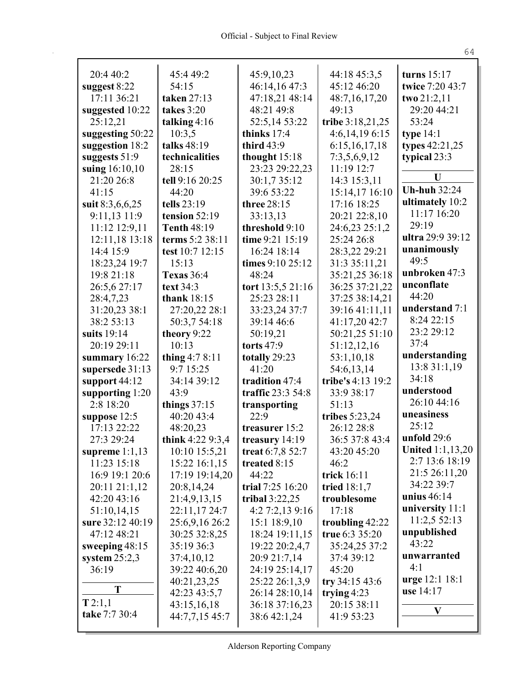| 20:4 40:2         | 45:4 49:2          | 45:9,10,23        | 44:18 45:3,5      | turns $15:17$           |
|-------------------|--------------------|-------------------|-------------------|-------------------------|
| suggest 8:22      | 54:15              | 46:14,16 47:3     | 45:12 46:20       | twice 7:20 43:7         |
| 17:11 36:21       | taken 27:13        | 47:18,21 48:14    | 48:7,16,17,20     | two 21:2,11             |
| suggested 10:22   | takes 3:20         | 48:21 49:8        | 49:13             | 29:20 44:21             |
| 25:12,21          | talking $4:16$     | 52:5,14 53:22     | tribe 3:18,21,25  | 53:24                   |
| suggesting 50:22  | 10:3,5             | thinks 17:4       | 4:6,14,196:15     | type $14:1$             |
| suggestion 18:2   | talks 48:19        | third $43:9$      | 6:15,16,17,18     | types 42:21,25          |
| suggests $51:9$   | technicalities     | thought 15:18     | 7:3,5,6,9,12      | typical 23:3            |
| suing 16:10,10    | 28:15              | 23:23 29:22,23    | 11:19 12:7        |                         |
| 21:20 26:8        | tell 9:16 20:25    | 30:1,7 35:12      | 14:3 15:3,11      | U                       |
| 41:15             | 44:20              | 39:6 53:22        | 15:14,17 16:10    | <b>Uh-huh 32:24</b>     |
| suit 8:3,6,6,25   | tells 23:19        | three 28:15       | 17:16 18:25       | ultimately 10:2         |
| 9:11,13 11:9      | tension 52:19      | 33:13,13          | 20:21 22:8,10     | 11:17 16:20             |
| 11:12 12:9,11     | <b>Tenth 48:19</b> | threshold 9:10    | 24:6,23 25:1,2    | 29:19                   |
| 12:11,18 13:18    | terms 5:2 38:11    | time 9:21 15:19   | 25:24 26:8        | ultra 29:9 39:12        |
| 14:4 15:9         | test 10:7 12:15    | 16:24 18:14       | 28:3,22 29:21     | unanimously             |
| 18:23,24 19:7     | 15:13              | times 9:10 25:12  | 31:3 35:11,21     | 49:5                    |
| 19:8 21:18        | <b>Texas</b> 36:4  | 48:24             | 35:21,25 36:18    | unbroken 47:3           |
| 26:5,6 27:17      | text 34:3          | tort 13:5,5 21:16 | 36:25 37:21,22    | unconflate              |
| 28:4,7,23         | thank $18:15$      | 25:23 28:11       | 37:25 38:14,21    | 44:20                   |
| 31:20,23 38:1     | 27:20,22 28:1      | 33:23,24 37:7     | 39:16 41:11,11    | understand 7:1          |
| 38:2 53:13        | 50:3,7 54:18       | 39:14 46:6        | 41:17,20 42:7     | 8:24 22:15              |
| suits 19:14       | theory 9:22        | 50:19,21          | 50:21,25 51:10    | 23:2 29:12              |
| 20:19 29:11       | 10:13              | torts 47:9        | 51:12,12,16       | 37:4                    |
| summary 16:22     | thing $4:78:11$    | totally 29:23     | 53:1,10,18        | understanding           |
| supersede 31:13   | 9:7 15:25          | 41:20             | 54:6,13,14        | 13:8 31:1,19            |
| support 44:12     | 34:14 39:12        | tradition 47:4    | tribe's 4:13 19:2 | 34:18                   |
| supporting $1:20$ | 43:9               | traffic 23:3 54:8 | 33:9 38:17        | understood              |
| 2:8 18:20         | things $37:15$     | transporting      | 51:13             | 26:10 44:16             |
| suppose $12:5$    | 40:20 43:4         | 22:9              | tribes 5:23,24    | uneasiness              |
| 17:13 22:22       | 48:20,23           | treasurer 15:2    | 26:12 28:8        | 25:12                   |
| 27:3 29:24        | think 4:22 9:3,4   | treasury 14:19    | 36:5 37:8 43:4    | unfold 29:6             |
| supreme $1:1,13$  | 10:10 15:5,21      | treat $6:7,852:7$ | 43:20 45:20       | <b>United 1:1,13,20</b> |
| 11:23 15:18       | 15:22 16:1,15      | treated 8:15      | 46:2              | 2:7 13:6 18:19          |
| 16:9 19:1 20:6    | 17:19 19:14,20     | 44:22             | trick 16:11       | 21:5 26:11,20           |
| 20:11 21:1,12     | 20:8,14,24         | trial 7:25 16:20  | tried $18:1,7$    | 34:22 39:7              |
| 42:20 43:16       | 21:4,9,13,15       | tribal $3:22,25$  | troublesome       | unius 46:14             |
| 51:10,14,15       | 22:11,17 24:7      | 4:2 7:2,13 9:16   | 17:18             | university 11:1         |
| sure 32:12 40:19  | 25:6,9,16 26:2     | 15:1 18:9,10      | troubling 42:22   | 11:2,5 52:13            |
| 47:12 48:21       | 30:25 32:8,25      | 18:24 19:11,15    | true 6:3 35:20    | unpublished             |
| sweeping $48:15$  | 35:19 36:3         | 19:22 20:2,4,7    | 35:24,25 37:2     | 43:22                   |
| system $25:2,3$   | 37:4,10,12         | 20:9 21:7,14      | 37:4 39:12        | unwarranted             |
| 36:19             | 39:22 40:6,20      | 24:19 25:14,17    | 45:20             | 4:1                     |
|                   | 40:21,23,25        | 25:22 26:1,3,9    | try $34:1543:6$   | <b>urge</b> 12:1 18:1   |
| T                 | 42:23 43:5,7       | 26:14 28:10,14    | trying $4:23$     | use 14:17               |
| T 2:1,1           | 43:15,16,18        | 36:18 37:16,23    | 20:15 38:11       |                         |
| take 7:7 30:4     | 44:7,7,15 45:7     | 38:6 42:1,24      | 41:9 53:23        | V                       |
|                   |                    |                   |                   |                         |